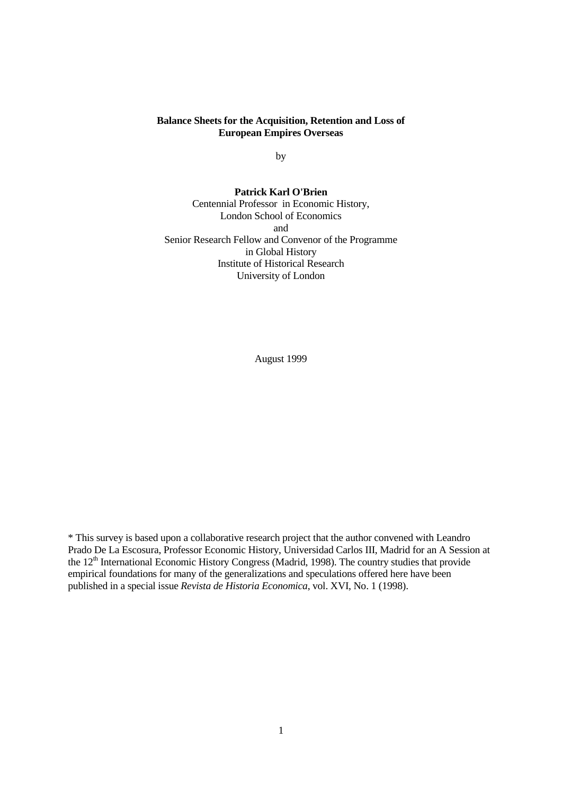### **Balance Sheets for the Acquisition, Retention and Loss of European Empires Overseas**

by

**Patrick Karl O'Brien** Centennial Professor in Economic History, London School of Economics and Senior Research Fellow and Convenor of the Programme in Global History Institute of Historical Research University of London

August 1999

\* This survey is based upon a collaborative research project that the author convened with Leandro Prado De La Escosura, Professor Economic History, Universidad Carlos III, Madrid for an A Session at the 12<sup>th</sup> International Economic History Congress (Madrid, 1998). The country studies that provide empirical foundations for many of the generalizations and speculations offered here have been published in a special issue *Revista de Historia Economica*, vol. XVI, No. 1 (1998).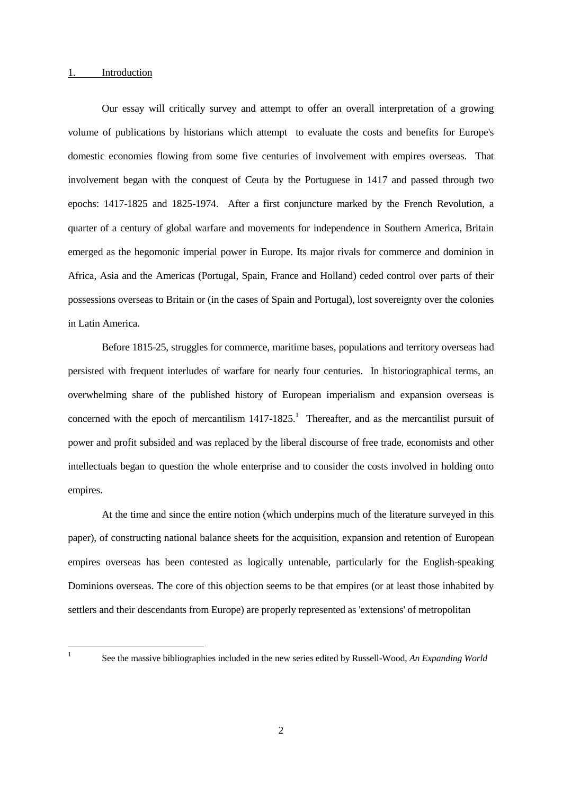Our essay will critically survey and attempt to offer an overall interpretation of a growing volume of publications by historians which attempt to evaluate the costs and benefits for Europe's domestic economies flowing from some five centuries of involvement with empires overseas. That involvement began with the conquest of Ceuta by the Portuguese in 1417 and passed through two epochs: 1417-1825 and 1825-1974. After a first conjuncture marked by the French Revolution, a quarter of a century of global warfare and movements for independence in Southern America, Britain emerged as the hegomonic imperial power in Europe. Its major rivals for commerce and dominion in Africa, Asia and the Americas (Portugal, Spain, France and Holland) ceded control over parts of their possessions overseas to Britain or (in the cases of Spain and Portugal), lost sovereignty over the colonies in Latin America.

Before 1815-25, struggles for commerce, maritime bases, populations and territory overseas had persisted with frequent interludes of warfare for nearly four centuries. In historiographical terms, an overwhelming share of the published history of European imperialism and expansion overseas is concerned with the epoch of mercantilism  $1417-1825$ .<sup>1</sup> Thereafter, and as the mercantilist pursuit of power and profit subsided and was replaced by the liberal discourse of free trade, economists and other intellectuals began to question the whole enterprise and to consider the costs involved in holding onto empires.

At the time and since the entire notion (which underpins much of the literature surveyed in this paper), of constructing national balance sheets for the acquisition, expansion and retention of European empires overseas has been contested as logically untenable, particularly for the English-speaking Dominions overseas. The core of this objection seems to be that empires (or at least those inhabited by settlers and their descendants from Europe) are properly represented as 'extensions' of metropolitan

See the massive bibliographies included in the new series edited by Russell-Wood, *An Expanding World*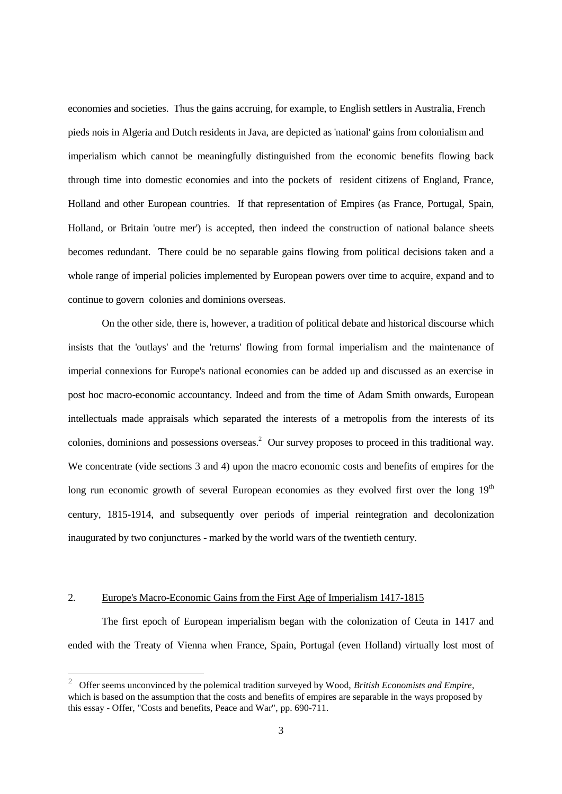economies and societies. Thus the gains accruing, for example, to English settlers in Australia, French pieds nois in Algeria and Dutch residents in Java, are depicted as 'national' gains from colonialism and imperialism which cannot be meaningfully distinguished from the economic benefits flowing back through time into domestic economies and into the pockets of resident citizens of England, France, Holland and other European countries. If that representation of Empires (as France, Portugal, Spain, Holland, or Britain 'outre mer') is accepted, then indeed the construction of national balance sheets becomes redundant. There could be no separable gains flowing from political decisions taken and a whole range of imperial policies implemented by European powers over time to acquire, expand and to continue to govern colonies and dominions overseas.

On the other side, there is, however, a tradition of political debate and historical discourse which insists that the 'outlays' and the 'returns' flowing from formal imperialism and the maintenance of imperial connexions for Europe's national economies can be added up and discussed as an exercise in post hoc macro-economic accountancy. Indeed and from the time of Adam Smith onwards, European intellectuals made appraisals which separated the interests of a metropolis from the interests of its colonies, dominions and possessions overseas.<sup>2</sup> Our survey proposes to proceed in this traditional way. We concentrate (vide sections 3 and 4) upon the macro economic costs and benefits of empires for the long run economic growth of several European economies as they evolved first over the long  $19<sup>th</sup>$ century, 1815-1914, and subsequently over periods of imperial reintegration and decolonization inaugurated by two conjunctures - marked by the world wars of the twentieth century.

### 2. Europe's Macro-Economic Gains from the First Age of Imperialism 1417-1815

—<br>—

The first epoch of European imperialism began with the colonization of Ceuta in 1417 and ended with the Treaty of Vienna when France, Spain, Portugal (even Holland) virtually lost most of

<sup>2</sup> Offer seems unconvinced by the polemical tradition surveyed by Wood, *British Economists and Empire*, which is based on the assumption that the costs and benefits of empires are separable in the ways proposed by this essay - Offer, "Costs and benefits, Peace and War", pp. 690-711.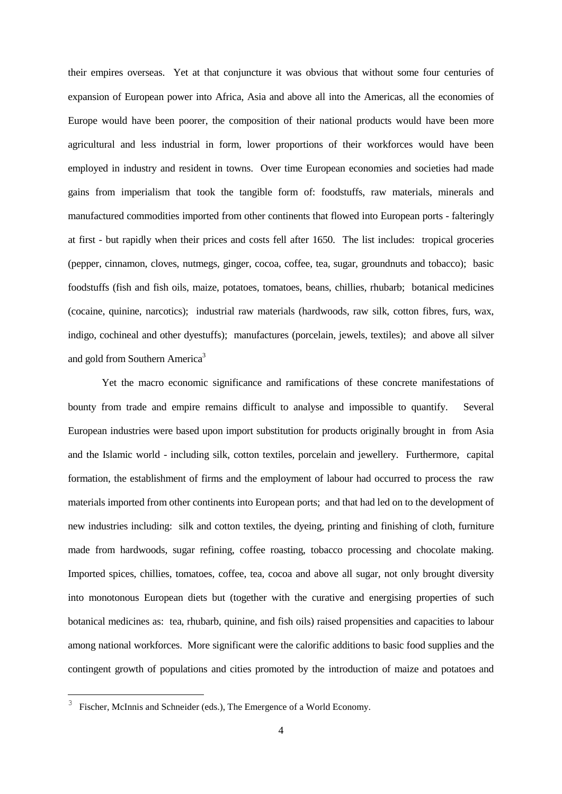their empires overseas. Yet at that conjuncture it was obvious that without some four centuries of expansion of European power into Africa, Asia and above all into the Americas, all the economies of Europe would have been poorer, the composition of their national products would have been more agricultural and less industrial in form, lower proportions of their workforces would have been employed in industry and resident in towns. Over time European economies and societies had made gains from imperialism that took the tangible form of: foodstuffs, raw materials, minerals and manufactured commodities imported from other continents that flowed into European ports - falteringly at first - but rapidly when their prices and costs fell after 1650. The list includes: tropical groceries (pepper, cinnamon, cloves, nutmegs, ginger, cocoa, coffee, tea, sugar, groundnuts and tobacco); basic foodstuffs (fish and fish oils, maize, potatoes, tomatoes, beans, chillies, rhubarb; botanical medicines (cocaine, quinine, narcotics); industrial raw materials (hardwoods, raw silk, cotton fibres, furs, wax, indigo, cochineal and other dyestuffs); manufactures (porcelain, jewels, textiles); and above all silver and gold from Southern America<sup>3</sup>

Yet the macro economic significance and ramifications of these concrete manifestations of bounty from trade and empire remains difficult to analyse and impossible to quantify. Several European industries were based upon import substitution for products originally brought in from Asia and the Islamic world - including silk, cotton textiles, porcelain and jewellery. Furthermore, capital formation, the establishment of firms and the employment of labour had occurred to process the raw materials imported from other continents into European ports; and that had led on to the development of new industries including: silk and cotton textiles, the dyeing, printing and finishing of cloth, furniture made from hardwoods, sugar refining, coffee roasting, tobacco processing and chocolate making. Imported spices, chillies, tomatoes, coffee, tea, cocoa and above all sugar, not only brought diversity into monotonous European diets but (together with the curative and energising properties of such botanical medicines as: tea, rhubarb, quinine, and fish oils) raised propensities and capacities to labour among national workforces. More significant were the calorific additions to basic food supplies and the contingent growth of populations and cities promoted by the introduction of maize and potatoes and

<sup>3</sup> Fischer, McInnis and Schneider (eds.), The Emergence of a World Economy.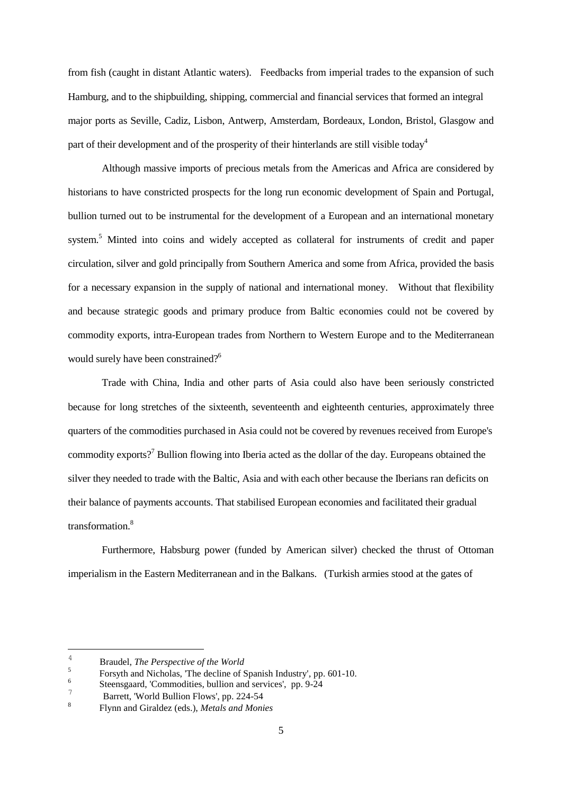from fish (caught in distant Atlantic waters). Feedbacks from imperial trades to the expansion of such Hamburg, and to the shipbuilding, shipping, commercial and financial services that formed an integral major ports as Seville, Cadiz, Lisbon, Antwerp, Amsterdam, Bordeaux, London, Bristol, Glasgow and part of their development and of the prosperity of their hinterlands are still visible today<sup>4</sup>

Although massive imports of precious metals from the Americas and Africa are considered by historians to have constricted prospects for the long run economic development of Spain and Portugal, bullion turned out to be instrumental for the development of a European and an international monetary system.<sup>5</sup> Minted into coins and widely accepted as collateral for instruments of credit and paper circulation, silver and gold principally from Southern America and some from Africa, provided the basis for a necessary expansion in the supply of national and international money. Without that flexibility and because strategic goods and primary produce from Baltic economies could not be covered by commodity exports, intra-European trades from Northern to Western Europe and to the Mediterranean would surely have been constrained?<sup>6</sup>

Trade with China, India and other parts of Asia could also have been seriously constricted because for long stretches of the sixteenth, seventeenth and eighteenth centuries, approximately three quarters of the commodities purchased in Asia could not be covered by revenues received from Europe's commodity exports?<sup>7</sup> Bullion flowing into Iberia acted as the dollar of the day. Europeans obtained the silver they needed to trade with the Baltic, Asia and with each other because the Iberians ran deficits on their balance of payments accounts. That stabilised European economies and facilitated their gradual transformation.<sup>8</sup>

Furthermore, Habsburg power (funded by American silver) checked the thrust of Ottoman imperialism in the Eastern Mediterranean and in the Balkans. (Turkish armies stood at the gates of

<sup>4</sup> Braudel, *The Perspective of the World*

<sup>5</sup> Forsyth and Nicholas, 'The decline of Spanish Industry'*,* pp. 601-10.

<sup>6</sup> Steensgaard, 'Commodities, bullion and services', pp. 9-24 7

Barrett, 'World Bullion Flows', pp. 224-54

<sup>8</sup> Flynn and Giraldez (eds.), *Metals and Monies*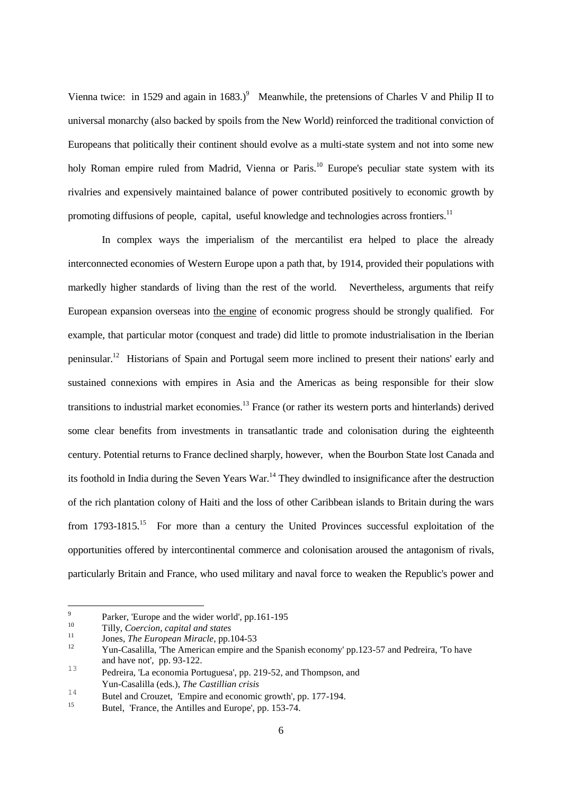Vienna twice: in 1529 and again in 1683.)<sup>9</sup> Meanwhile, the pretensions of Charles V and Philip II to universal monarchy (also backed by spoils from the New World) reinforced the traditional conviction of Europeans that politically their continent should evolve as a multi-state system and not into some new holy Roman empire ruled from Madrid, Vienna or Paris.<sup>10</sup> Europe's peculiar state system with its rivalries and expensively maintained balance of power contributed positively to economic growth by promoting diffusions of people, capital, useful knowledge and technologies across frontiers.<sup>11</sup>

In complex ways the imperialism of the mercantilist era helped to place the already interconnected economies of Western Europe upon a path that, by 1914, provided their populations with markedly higher standards of living than the rest of the world. Nevertheless, arguments that reify European expansion overseas into the engine of economic progress should be strongly qualified. For example, that particular motor (conquest and trade) did little to promote industrialisation in the Iberian peninsular.<sup>12</sup> Historians of Spain and Portugal seem more inclined to present their nations' early and sustained connexions with empires in Asia and the Americas as being responsible for their slow transitions to industrial market economies.<sup>13</sup> France (or rather its western ports and hinterlands) derived some clear benefits from investments in transatlantic trade and colonisation during the eighteenth century. Potential returns to France declined sharply, however, when the Bourbon State lost Canada and its foothold in India during the Seven Years War.<sup>14</sup> They dwindled to insignificance after the destruction of the rich plantation colony of Haiti and the loss of other Caribbean islands to Britain during the wars from 1793-1815.<sup>15</sup> For more than a century the United Provinces successful exploitation of the opportunities offered by intercontinental commerce and colonisation aroused the antagonism of rivals, particularly Britain and France, who used military and naval force to weaken the Republic's power and

<sup>9</sup> Parker, 'Europe and the wider world', pp.161-195

<sup>10</sup> Tilly, *Coercion, capital and states*

<sup>&</sup>lt;sup>11</sup> Jones, *The European Miracle*, pp.104-53

<sup>12</sup> Yun-Casalilla, 'The American empire and the Spanish economy' pp.123-57 and Pedreira, 'To have and have not', pp. 93-122.

<sup>13</sup> Pedreira, 'La economia Portuguesa', pp. 219-52, and Thompson, and Yun-Casalilla (eds.), *The Castillian crisis*

<sup>&</sup>lt;sup>14</sup> Butel and Crouzet, 'Empire and economic growth', pp. 177-194.

Butel, 'France, the Antilles and Europe', pp. 153-74.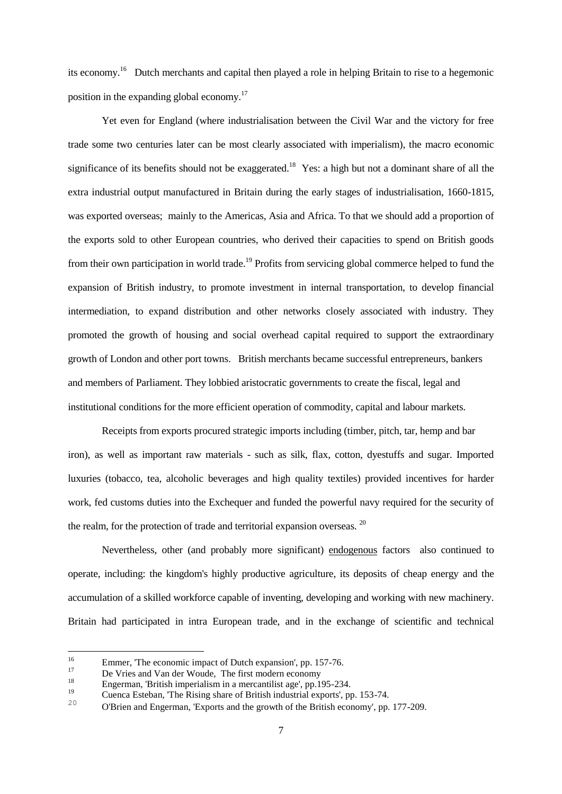its economy.<sup>16</sup> Dutch merchants and capital then played a role in helping Britain to rise to a hegemonic position in the expanding global economy.<sup>17</sup>

Yet even for England (where industrialisation between the Civil War and the victory for free trade some two centuries later can be most clearly associated with imperialism), the macro economic significance of its benefits should not be exaggerated.<sup>18</sup> Yes: a high but not a dominant share of all the extra industrial output manufactured in Britain during the early stages of industrialisation, 1660-1815, was exported overseas; mainly to the Americas, Asia and Africa. To that we should add a proportion of the exports sold to other European countries, who derived their capacities to spend on British goods from their own participation in world trade.<sup>19</sup> Profits from servicing global commerce helped to fund the expansion of British industry, to promote investment in internal transportation, to develop financial intermediation, to expand distribution and other networks closely associated with industry. They promoted the growth of housing and social overhead capital required to support the extraordinary growth of London and other port towns. British merchants became successful entrepreneurs, bankers and members of Parliament. They lobbied aristocratic governments to create the fiscal, legal and institutional conditions for the more efficient operation of commodity, capital and labour markets.

Receipts from exports procured strategic imports including (timber, pitch, tar, hemp and bar iron), as well as important raw materials - such as silk, flax, cotton, dyestuffs and sugar. Imported luxuries (tobacco, tea, alcoholic beverages and high quality textiles) provided incentives for harder work, fed customs duties into the Exchequer and funded the powerful navy required for the security of the realm, for the protection of trade and territorial expansion overseas. <sup>20</sup>

Nevertheless, other (and probably more significant) endogenous factors also continued to operate, including: the kingdom's highly productive agriculture, its deposits of cheap energy and the accumulation of a skilled workforce capable of inventing, developing and working with new machinery. Britain had participated in intra European trade, and in the exchange of scientific and technical

 $16$ <sup>16</sup> Emmer, 'The economic impact of Dutch expansion', pp. 157-76.<br>  $\Gamma$ 

 $17$  De Vries and Van der Woude, The first modern economy

<sup>&</sup>lt;sup>18</sup> Engerman, 'British imperialism in a mercantilist age', pp.195-234.

<sup>&</sup>lt;sup>19</sup> Cuenca Esteban, 'The Rising share of British industrial exports', pp. 153-74.

<sup>20</sup> O'Brien and Engerman, 'Exports and the growth of the British economy', pp. 177-209.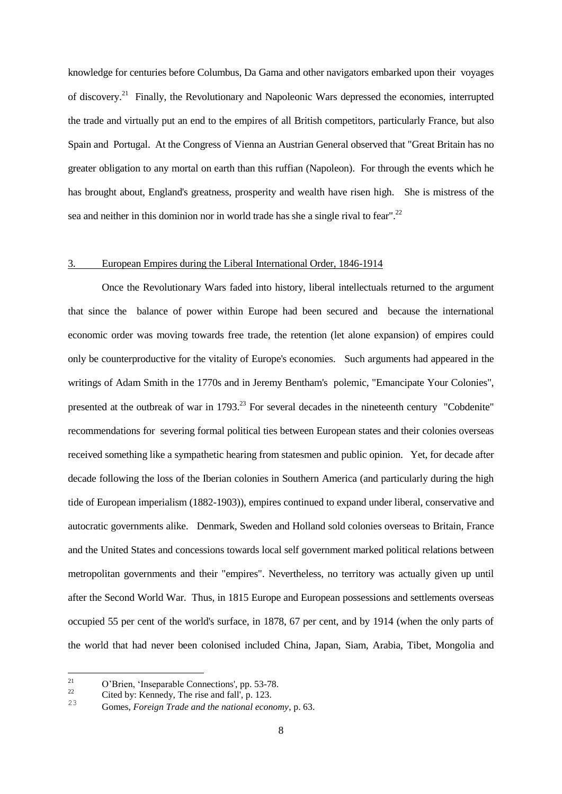knowledge for centuries before Columbus, Da Gama and other navigators embarked upon their voyages of discovery.<sup>21</sup> Finally, the Revolutionary and Napoleonic Wars depressed the economies, interrupted the trade and virtually put an end to the empires of all British competitors, particularly France, but also Spain and Portugal. At the Congress of Vienna an Austrian General observed that "Great Britain has no greater obligation to any mortal on earth than this ruffian (Napoleon). For through the events which he has brought about, England's greatness, prosperity and wealth have risen high. She is mistress of the sea and neither in this dominion nor in world trade has she a single rival to fear".<sup>22</sup>

### 3. European Empires during the Liberal International Order, 1846-1914

Once the Revolutionary Wars faded into history, liberal intellectuals returned to the argument that since the balance of power within Europe had been secured and because the international economic order was moving towards free trade, the retention (let alone expansion) of empires could only be counterproductive for the vitality of Europe's economies. Such arguments had appeared in the writings of Adam Smith in the 1770s and in Jeremy Bentham's polemic, "Emancipate Your Colonies", presented at the outbreak of war in  $1793$ <sup>23</sup>. For several decades in the nineteenth century "Cobdenite" recommendations for severing formal political ties between European states and their colonies overseas received something like a sympathetic hearing from statesmen and public opinion. Yet, for decade after decade following the loss of the Iberian colonies in Southern America (and particularly during the high tide of European imperialism (1882-1903)), empires continued to expand under liberal, conservative and autocratic governments alike. Denmark, Sweden and Holland sold colonies overseas to Britain, France and the United States and concessions towards local self government marked political relations between metropolitan governments and their "empires". Nevertheless, no territory was actually given up until after the Second World War. Thus, in 1815 Europe and European possessions and settlements overseas occupied 55 per cent of the world's surface, in 1878, 67 per cent, and by 1914 (when the only parts of the world that had never been colonised included China, Japan, Siam, Arabia, Tibet, Mongolia and

 $21$ <sup>21</sup> O'Brien, 'Inseparable Connections', pp. 53-78.

<sup>&</sup>lt;sup>22</sup> Cited by: Kennedy, The rise and fall', p. 123.

<sup>23</sup> Gomes, *Foreign Trade and the national economy*, p. 63.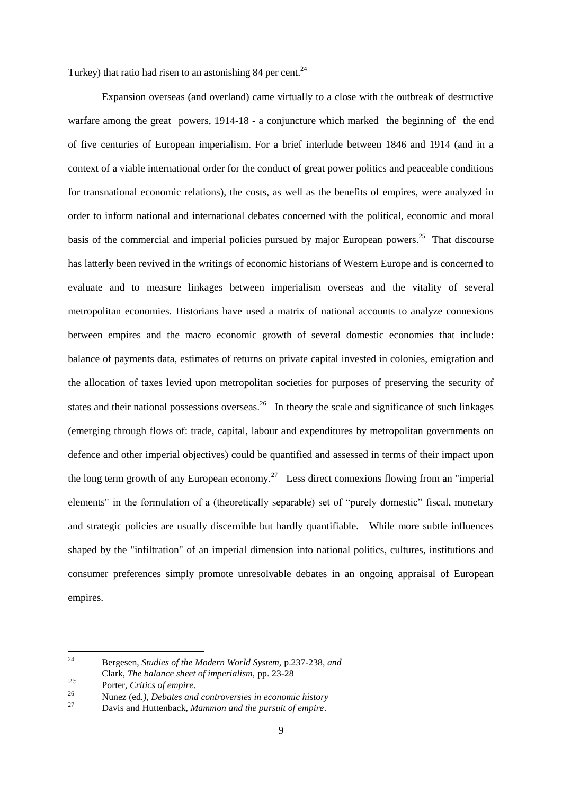Turkey) that ratio had risen to an astonishing  $84$  per cent.<sup>24</sup>

Expansion overseas (and overland) came virtually to a close with the outbreak of destructive warfare among the great powers, 1914-18 - a conjuncture which marked the beginning of the end of five centuries of European imperialism. For a brief interlude between 1846 and 1914 (and in a context of a viable international order for the conduct of great power politics and peaceable conditions for transnational economic relations), the costs, as well as the benefits of empires, were analyzed in order to inform national and international debates concerned with the political, economic and moral basis of the commercial and imperial policies pursued by major European powers.<sup>25</sup> That discourse has latterly been revived in the writings of economic historians of Western Europe and is concerned to evaluate and to measure linkages between imperialism overseas and the vitality of several metropolitan economies. Historians have used a matrix of national accounts to analyze connexions between empires and the macro economic growth of several domestic economies that include: balance of payments data, estimates of returns on private capital invested in colonies, emigration and the allocation of taxes levied upon metropolitan societies for purposes of preserving the security of states and their national possessions overseas.<sup>26</sup> In theory the scale and significance of such linkages (emerging through flows of: trade, capital, labour and expenditures by metropolitan governments on defence and other imperial objectives) could be quantified and assessed in terms of their impact upon the long term growth of any European economy.<sup>27</sup> Less direct connexions flowing from an "imperial" elements" in the formulation of a (theoretically separable) set of "purely domestic" fiscal, monetary and strategic policies are usually discernible but hardly quantifiable. While more subtle influences shaped by the "infiltration" of an imperial dimension into national politics, cultures, institutions and consumer preferences simply promote unresolvable debates in an ongoing appraisal of European empires.

 $24$ <sup>24</sup> Bergesen, *Studies of the Modern World System,* p.237-238*, and* Clark, *The balance sheet of imperialism,* pp. 23-28

<sup>25</sup> Porter, *Critics of empire*.

<sup>26</sup> Nunez (ed*.), Debates and controversies in economic history* 

<sup>27</sup> Davis and Huttenback, *Mammon and the pursuit of empire*.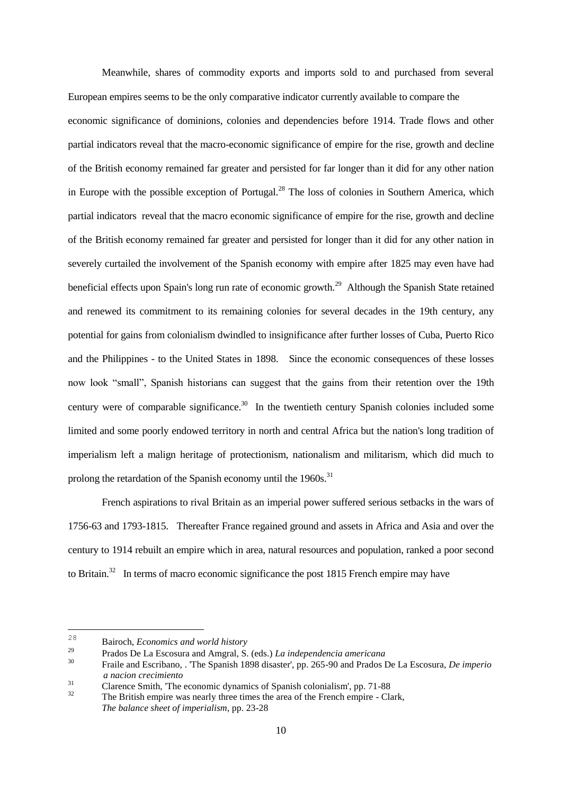Meanwhile, shares of commodity exports and imports sold to and purchased from several European empires seems to be the only comparative indicator currently available to compare the economic significance of dominions, colonies and dependencies before 1914. Trade flows and other partial indicators reveal that the macro-economic significance of empire for the rise, growth and decline of the British economy remained far greater and persisted for far longer than it did for any other nation in Europe with the possible exception of Portugal.<sup>28</sup> The loss of colonies in Southern America, which partial indicators reveal that the macro economic significance of empire for the rise, growth and decline of the British economy remained far greater and persisted for longer than it did for any other nation in severely curtailed the involvement of the Spanish economy with empire after 1825 may even have had beneficial effects upon Spain's long run rate of economic growth.<sup>29</sup> Although the Spanish State retained and renewed its commitment to its remaining colonies for several decades in the 19th century, any potential for gains from colonialism dwindled to insignificance after further losses of Cuba, Puerto Rico and the Philippines - to the United States in 1898. Since the economic consequences of these losses now look "small", Spanish historians can suggest that the gains from their retention over the 19th century were of comparable significance.<sup>30</sup> In the twentieth century Spanish colonies included some limited and some poorly endowed territory in north and central Africa but the nation's long tradition of imperialism left a malign heritage of protectionism, nationalism and militarism, which did much to prolong the retardation of the Spanish economy until the  $1960s$ <sup>31</sup>

French aspirations to rival Britain as an imperial power suffered serious setbacks in the wars of 1756-63 and 1793-1815. Thereafter France regained ground and assets in Africa and Asia and over the century to 1914 rebuilt an empire which in area, natural resources and population, ranked a poor second to Britain.<sup>32</sup> In terms of macro economic significance the post 1815 French empire may have

<sup>28</sup> Bairoch, *Economics and world history*

<sup>29</sup> Prados De La Escosura and Amgral, S. (eds.) *La independencia americana* 

<sup>30</sup> Fraile and Escribano, . 'The Spanish 1898 disaster', pp. 265-90 and Prados De La Escosura, *De imperio a nacion crecimiento*

 $\frac{31}{32}$  Clarence Smith, 'The economic dynamics of Spanish colonialism', pp. 71-88

The British empire was nearly three times the area of the French empire - Clark, *The balance sheet of imperialism*, pp. 23-28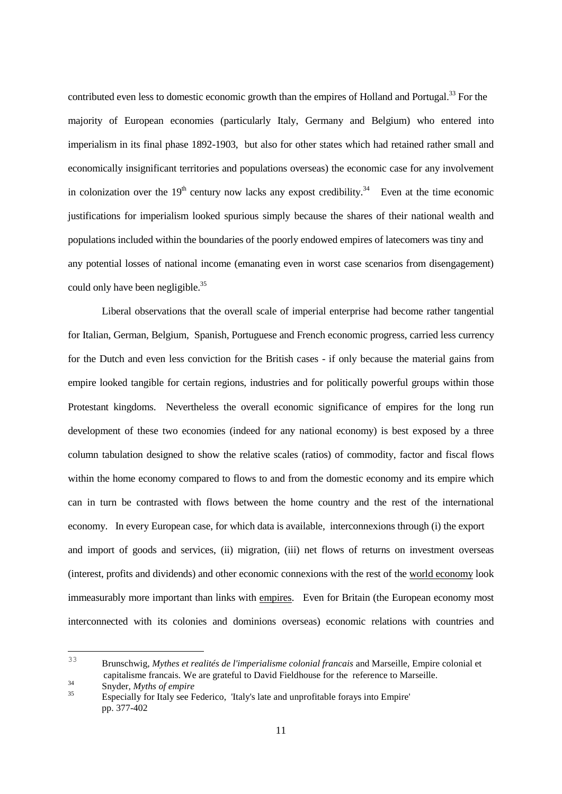contributed even less to domestic economic growth than the empires of Holland and Portugal.<sup>33</sup> For the majority of European economies (particularly Italy, Germany and Belgium) who entered into imperialism in its final phase 1892-1903, but also for other states which had retained rather small and economically insignificant territories and populations overseas) the economic case for any involvement in colonization over the  $19<sup>th</sup>$  century now lacks any expost credibility.<sup>34</sup> Even at the time economic justifications for imperialism looked spurious simply because the shares of their national wealth and populations included within the boundaries of the poorly endowed empires of latecomers was tiny and any potential losses of national income (emanating even in worst case scenarios from disengagement) could only have been negligible.<sup>35</sup>

Liberal observations that the overall scale of imperial enterprise had become rather tangential for Italian, German, Belgium, Spanish, Portuguese and French economic progress, carried less currency for the Dutch and even less conviction for the British cases - if only because the material gains from empire looked tangible for certain regions, industries and for politically powerful groups within those Protestant kingdoms. Nevertheless the overall economic significance of empires for the long run development of these two economies (indeed for any national economy) is best exposed by a three column tabulation designed to show the relative scales (ratios) of commodity, factor and fiscal flows within the home economy compared to flows to and from the domestic economy and its empire which can in turn be contrasted with flows between the home country and the rest of the international economy. In every European case, for which data is available, interconnexions through (i) the export and import of goods and services, (ii) migration, (iii) net flows of returns on investment overseas (interest, profits and dividends) and other economic connexions with the rest of the world economy look immeasurably more important than links with empires. Even for Britain (the European economy most interconnected with its colonies and dominions overseas) economic relations with countries and

<sup>33</sup> <sup>33</sup> Brunschwig, *Mythes et realités de l'imperialisme colonial francais* and Marseille, Empire colonial et capitalisme francais. We are grateful to David Fieldhouse for the reference to Marseille.

<sup>34</sup> Snyder, *Myths of empire*

<sup>35</sup> Especially for Italy see Federico, 'Italy's late and unprofitable forays into Empire' pp. 377-402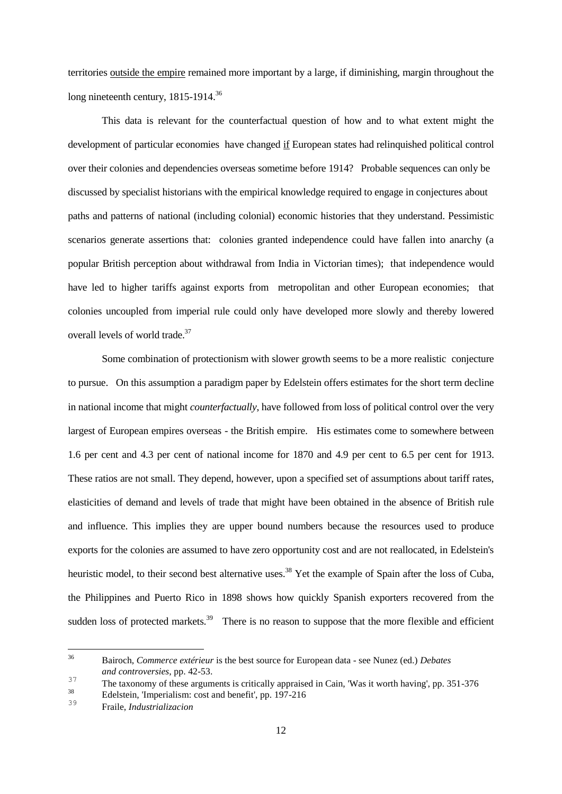territories outside the empire remained more important by a large, if diminishing, margin throughout the long nineteenth century, 1815-1914.<sup>36</sup>

This data is relevant for the counterfactual question of how and to what extent might the development of particular economies have changed if European states had relinquished political control over their colonies and dependencies overseas sometime before 1914? Probable sequences can only be discussed by specialist historians with the empirical knowledge required to engage in conjectures about paths and patterns of national (including colonial) economic histories that they understand. Pessimistic scenarios generate assertions that: colonies granted independence could have fallen into anarchy (a popular British perception about withdrawal from India in Victorian times); that independence would have led to higher tariffs against exports from metropolitan and other European economies; that colonies uncoupled from imperial rule could only have developed more slowly and thereby lowered overall levels of world trade.<sup>37</sup>

Some combination of protectionism with slower growth seems to be a more realistic conjecture to pursue. On this assumption a paradigm paper by Edelstein offers estimates for the short term decline in national income that might *counterfactually*, have followed from loss of political control over the very largest of European empires overseas - the British empire. His estimates come to somewhere between 1.6 per cent and 4.3 per cent of national income for 1870 and 4.9 per cent to 6.5 per cent for 1913. These ratios are not small. They depend, however, upon a specified set of assumptions about tariff rates, elasticities of demand and levels of trade that might have been obtained in the absence of British rule and influence. This implies they are upper bound numbers because the resources used to produce exports for the colonies are assumed to have zero opportunity cost and are not reallocated, in Edelstein's heuristic model, to their second best alternative uses.<sup>38</sup> Yet the example of Spain after the loss of Cuba, the Philippines and Puerto Rico in 1898 shows how quickly Spanish exporters recovered from the sudden loss of protected markets.<sup>39</sup> There is no reason to suppose that the more flexible and efficient

 $36$ <sup>36</sup> Bairoch, *Commerce extérieur* is the best source for European data - see Nunez (ed.) *Debates and controversies*, pp. 42-53.

<sup>&</sup>lt;sup>37</sup> The taxonomy of these arguments is critically appraised in Cain, 'Was it worth having', pp. 351-376

<sup>&</sup>lt;sup>38</sup> Edelstein, 'Imperialism: cost and benefit', pp. 197-216

<sup>39</sup> Fraile, *Industrializacion*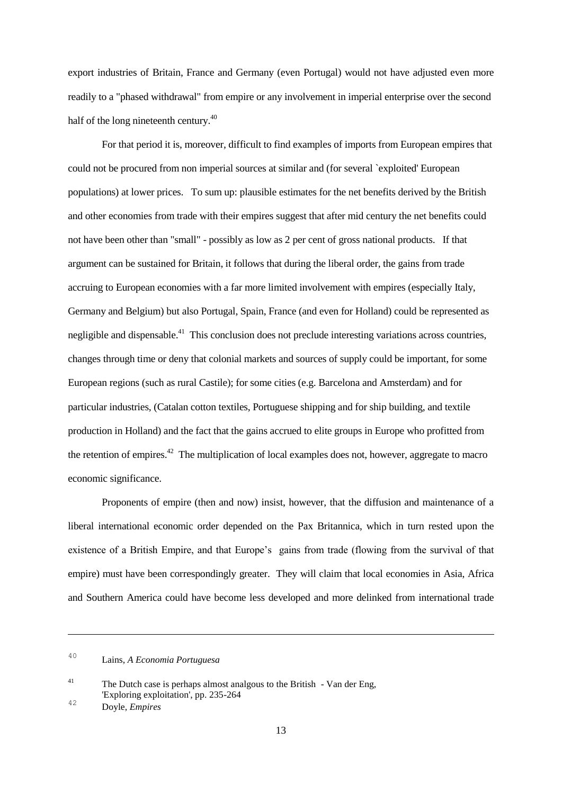export industries of Britain, France and Germany (even Portugal) would not have adjusted even more readily to a "phased withdrawal" from empire or any involvement in imperial enterprise over the second half of the long nineteenth century.<sup>40</sup>

For that period it is, moreover, difficult to find examples of imports from European empires that could not be procured from non imperial sources at similar and (for several `exploited' European populations) at lower prices. To sum up: plausible estimates for the net benefits derived by the British and other economies from trade with their empires suggest that after mid century the net benefits could not have been other than "small" - possibly as low as 2 per cent of gross national products. If that argument can be sustained for Britain, it follows that during the liberal order, the gains from trade accruing to European economies with a far more limited involvement with empires (especially Italy, Germany and Belgium) but also Portugal, Spain, France (and even for Holland) could be represented as negligible and dispensable.<sup>41</sup> This conclusion does not preclude interesting variations across countries, changes through time or deny that colonial markets and sources of supply could be important, for some European regions (such as rural Castile); for some cities (e.g. Barcelona and Amsterdam) and for particular industries, (Catalan cotton textiles, Portuguese shipping and for ship building, and textile production in Holland) and the fact that the gains accrued to elite groups in Europe who profitted from the retention of empires.<sup>42</sup> The multiplication of local examples does not, however, aggregate to macro economic significance.

Proponents of empire (then and now) insist, however, that the diffusion and maintenance of a liberal international economic order depended on the Pax Britannica, which in turn rested upon the existence of a British Empire, and that Europe's gains from trade (flowing from the survival of that empire) must have been correspondingly greater. They will claim that local economies in Asia, Africa and Southern America could have become less developed and more delinked from international trade

<sup>40</sup> Lains, *A Economia Portuguesa*

<sup>&</sup>lt;sup>41</sup> The Dutch case is perhaps almost analgous to the British - Van der Eng, 'Exploring exploitation', pp. 235-264

<sup>42</sup> Doyle, *Empires*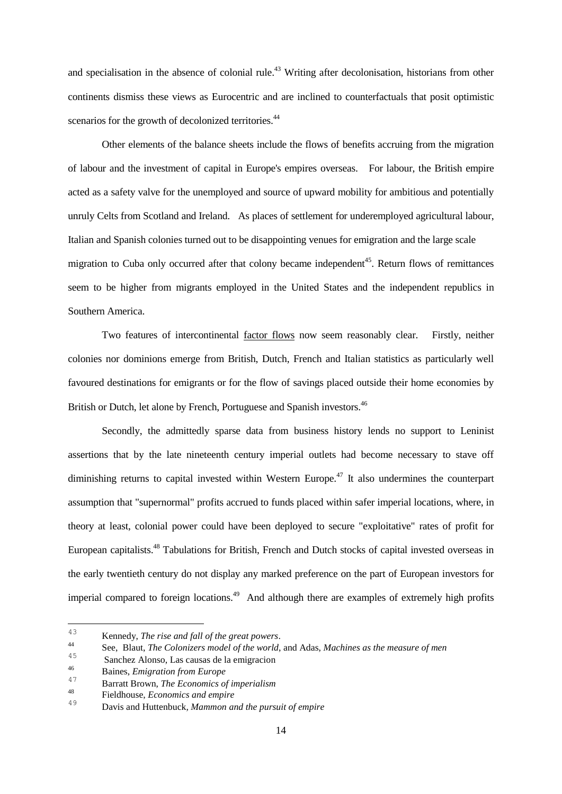and specialisation in the absence of colonial rule.<sup>43</sup> Writing after decolonisation, historians from other continents dismiss these views as Eurocentric and are inclined to counterfactuals that posit optimistic scenarios for the growth of decolonized territories.<sup>44</sup>

Other elements of the balance sheets include the flows of benefits accruing from the migration of labour and the investment of capital in Europe's empires overseas. For labour, the British empire acted as a safety valve for the unemployed and source of upward mobility for ambitious and potentially unruly Celts from Scotland and Ireland. As places of settlement for underemployed agricultural labour, Italian and Spanish colonies turned out to be disappointing venues for emigration and the large scale migration to Cuba only occurred after that colony became independent<sup>45</sup>. Return flows of remittances seem to be higher from migrants employed in the United States and the independent republics in Southern America.

Two features of intercontinental factor flows now seem reasonably clear. Firstly, neither colonies nor dominions emerge from British, Dutch, French and Italian statistics as particularly well favoured destinations for emigrants or for the flow of savings placed outside their home economies by British or Dutch, let alone by French, Portuguese and Spanish investors.<sup>46</sup>

Secondly, the admittedly sparse data from business history lends no support to Leninist assertions that by the late nineteenth century imperial outlets had become necessary to stave off diminishing returns to capital invested within Western Europe.<sup>47</sup> It also undermines the counterpart assumption that "supernormal" profits accrued to funds placed within safer imperial locations, where, in theory at least, colonial power could have been deployed to secure "exploitative" rates of profit for European capitalists.<sup>48</sup> Tabulations for British, French and Dutch stocks of capital invested overseas in the early twentieth century do not display any marked preference on the part of European investors for imperial compared to foreign locations.<sup>49</sup> And although there are examples of extremely high profits

<sup>43</sup> Kennedy, *The rise and fall of the great powers*.

<sup>44</sup> See, Blaut, *The Colonizers model of the world*, and Adas, *Machines as the measure of men*

<sup>45</sup> Sanchez Alonso, Las causas de la emigracion

<sup>46</sup> Baines, *Emigration from Europe*

<sup>47</sup> Barratt Brown, *The Economics of imperialism*

<sup>48</sup> Fieldhouse, *Economics and empire*

<sup>49</sup> Davis and Huttenbuck*, Mammon and the pursuit of empire*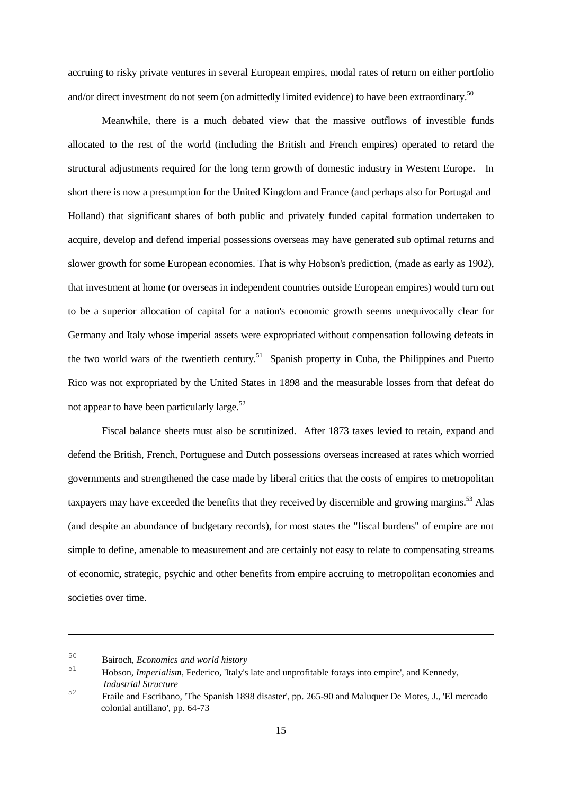accruing to risky private ventures in several European empires, modal rates of return on either portfolio and/or direct investment do not seem (on admittedly limited evidence) to have been extraordinary.<sup>50</sup>

Meanwhile, there is a much debated view that the massive outflows of investible funds allocated to the rest of the world (including the British and French empires) operated to retard the structural adjustments required for the long term growth of domestic industry in Western Europe. In short there is now a presumption for the United Kingdom and France (and perhaps also for Portugal and Holland) that significant shares of both public and privately funded capital formation undertaken to acquire, develop and defend imperial possessions overseas may have generated sub optimal returns and slower growth for some European economies. That is why Hobson's prediction, (made as early as 1902), that investment at home (or overseas in independent countries outside European empires) would turn out to be a superior allocation of capital for a nation's economic growth seems unequivocally clear for Germany and Italy whose imperial assets were expropriated without compensation following defeats in the two world wars of the twentieth century.<sup>51</sup> Spanish property in Cuba, the Philippines and Puerto Rico was not expropriated by the United States in 1898 and the measurable losses from that defeat do not appear to have been particularly large. $52$ 

Fiscal balance sheets must also be scrutinized. After 1873 taxes levied to retain, expand and defend the British, French, Portuguese and Dutch possessions overseas increased at rates which worried governments and strengthened the case made by liberal critics that the costs of empires to metropolitan taxpayers may have exceeded the benefits that they received by discernible and growing margins.<sup>53</sup> Alas (and despite an abundance of budgetary records), for most states the "fiscal burdens" of empire are not simple to define, amenable to measurement and are certainly not easy to relate to compensating streams of economic, strategic, psychic and other benefits from empire accruing to metropolitan economies and societies over time.

<sup>50</sup> Bairoch, *Economics and world history*

<sup>51</sup> Hobson, *Imperialism*, Federico, 'Italy's late and unprofitable forays into empire', and Kennedy, *Industrial Structure*

<sup>52</sup> Fraile and Escribano, 'The Spanish 1898 disaster', pp. 265-90 and Maluquer De Motes, J., 'El mercado colonial antillano', pp. 64-73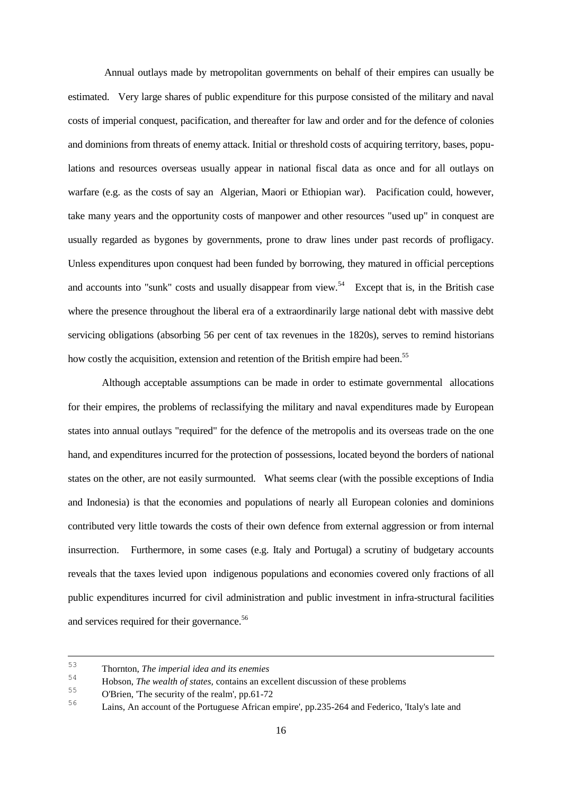Annual outlays made by metropolitan governments on behalf of their empires can usually be estimated. Very large shares of public expenditure for this purpose consisted of the military and naval costs of imperial conquest, pacification, and thereafter for law and order and for the defence of colonies and dominions from threats of enemy attack. Initial or threshold costs of acquiring territory, bases, populations and resources overseas usually appear in national fiscal data as once and for all outlays on warfare (e.g. as the costs of say an Algerian, Maori or Ethiopian war). Pacification could, however, take many years and the opportunity costs of manpower and other resources "used up" in conquest are usually regarded as bygones by governments, prone to draw lines under past records of profligacy. Unless expenditures upon conquest had been funded by borrowing, they matured in official perceptions and accounts into "sunk" costs and usually disappear from view.<sup>54</sup> Except that is, in the British case where the presence throughout the liberal era of a extraordinarily large national debt with massive debt servicing obligations (absorbing 56 per cent of tax revenues in the 1820s), serves to remind historians how costly the acquisition, extension and retention of the British empire had been.<sup>55</sup>

Although acceptable assumptions can be made in order to estimate governmental allocations for their empires, the problems of reclassifying the military and naval expenditures made by European states into annual outlays "required" for the defence of the metropolis and its overseas trade on the one hand, and expenditures incurred for the protection of possessions, located beyond the borders of national states on the other, are not easily surmounted. What seems clear (with the possible exceptions of India and Indonesia) is that the economies and populations of nearly all European colonies and dominions contributed very little towards the costs of their own defence from external aggression or from internal insurrection. Furthermore, in some cases (e.g. Italy and Portugal) a scrutiny of budgetary accounts reveals that the taxes levied upon indigenous populations and economies covered only fractions of all public expenditures incurred for civil administration and public investment in infra-structural facilities and services required for their governance.<sup>56</sup>

 $55$  O'Brien, 'The security of the realm', pp.61-72<br> $56$  I gins. An assessment of the Pertuanage African g

 $53$ <sup>53</sup> Thornton, *The imperial idea and its enemies*

<sup>&</sup>lt;sup>54</sup> Hobson, *The wealth of states*, contains an excellent discussion of these problems

Lains, An account of the Portuguese African empire', pp.235-264 and Federico, 'Italy's late and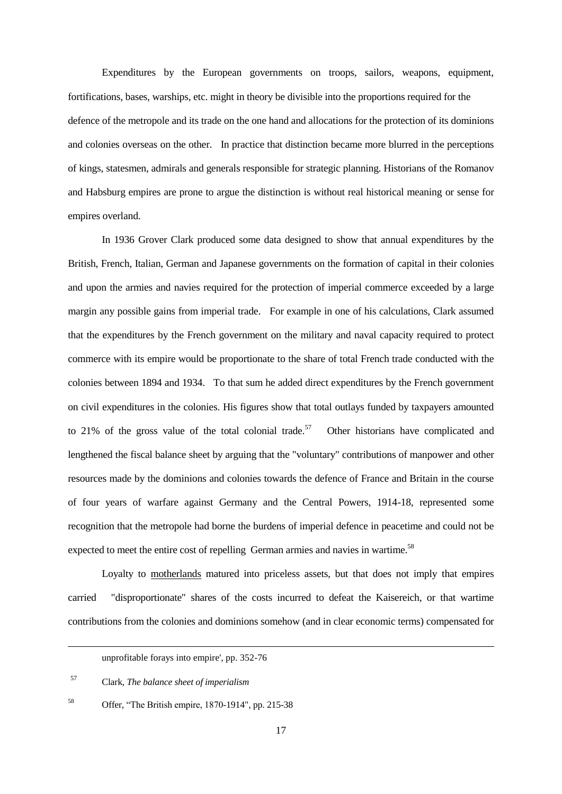Expenditures by the European governments on troops, sailors, weapons, equipment, fortifications, bases, warships, etc. might in theory be divisible into the proportions required for the defence of the metropole and its trade on the one hand and allocations for the protection of its dominions and colonies overseas on the other. In practice that distinction became more blurred in the perceptions of kings, statesmen, admirals and generals responsible for strategic planning. Historians of the Romanov and Habsburg empires are prone to argue the distinction is without real historical meaning or sense for empires overland.

In 1936 Grover Clark produced some data designed to show that annual expenditures by the British, French, Italian, German and Japanese governments on the formation of capital in their colonies and upon the armies and navies required for the protection of imperial commerce exceeded by a large margin any possible gains from imperial trade. For example in one of his calculations, Clark assumed that the expenditures by the French government on the military and naval capacity required to protect commerce with its empire would be proportionate to the share of total French trade conducted with the colonies between 1894 and 1934. To that sum he added direct expenditures by the French government on civil expenditures in the colonies. His figures show that total outlays funded by taxpayers amounted to 21% of the gross value of the total colonial trade.<sup>57</sup> Other historians have complicated and lengthened the fiscal balance sheet by arguing that the "voluntary" contributions of manpower and other resources made by the dominions and colonies towards the defence of France and Britain in the course of four years of warfare against Germany and the Central Powers, 1914-18, represented some recognition that the metropole had borne the burdens of imperial defence in peacetime and could not be expected to meet the entire cost of repelling German armies and navies in wartime.<sup>58</sup>

Loyalty to motherlands matured into priceless assets, but that does not imply that empires carried "disproportionate" shares of the costs incurred to defeat the Kaisereich, or that wartime contributions from the colonies and dominions somehow (and in clear economic terms) compensated for

unprofitable forays into empire', pp. 352-76

<sup>57</sup> Clark, *The balance sheet of imperialism*

<sup>58</sup> Offer, "The British empire, 1870-1914", pp. 215-38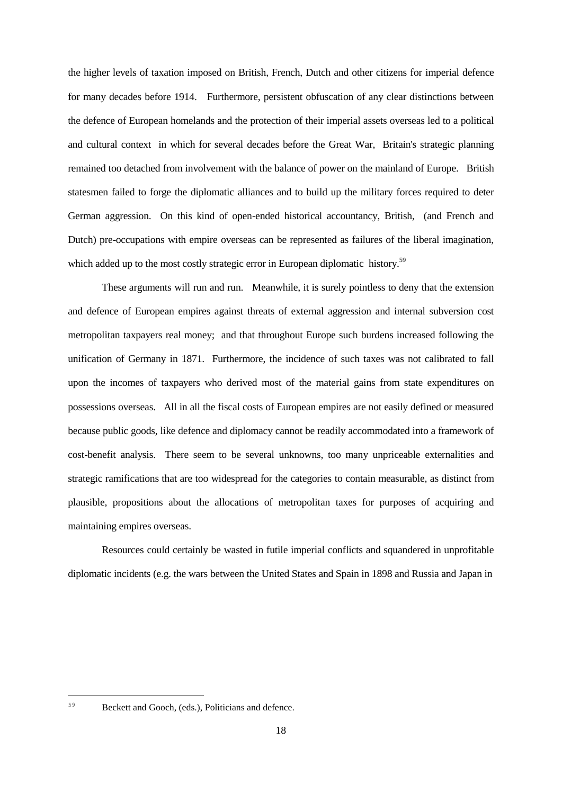the higher levels of taxation imposed on British, French, Dutch and other citizens for imperial defence for many decades before 1914. Furthermore, persistent obfuscation of any clear distinctions between the defence of European homelands and the protection of their imperial assets overseas led to a political and cultural context in which for several decades before the Great War, Britain's strategic planning remained too detached from involvement with the balance of power on the mainland of Europe. British statesmen failed to forge the diplomatic alliances and to build up the military forces required to deter German aggression. On this kind of open-ended historical accountancy, British, (and French and Dutch) pre-occupations with empire overseas can be represented as failures of the liberal imagination, which added up to the most costly strategic error in European diplomatic history.<sup>59</sup>

These arguments will run and run. Meanwhile, it is surely pointless to deny that the extension and defence of European empires against threats of external aggression and internal subversion cost metropolitan taxpayers real money; and that throughout Europe such burdens increased following the unification of Germany in 1871. Furthermore, the incidence of such taxes was not calibrated to fall upon the incomes of taxpayers who derived most of the material gains from state expenditures on possessions overseas. All in all the fiscal costs of European empires are not easily defined or measured because public goods, like defence and diplomacy cannot be readily accommodated into a framework of cost-benefit analysis. There seem to be several unknowns, too many unpriceable externalities and strategic ramifications that are too widespread for the categories to contain measurable, as distinct from plausible, propositions about the allocations of metropolitan taxes for purposes of acquiring and maintaining empires overseas.

Resources could certainly be wasted in futile imperial conflicts and squandered in unprofitable diplomatic incidents (e.g. the wars between the United States and Spain in 1898 and Russia and Japan in

<u>.</u>

<sup>59</sup> Beckett and Gooch, (eds.), Politicians and defence.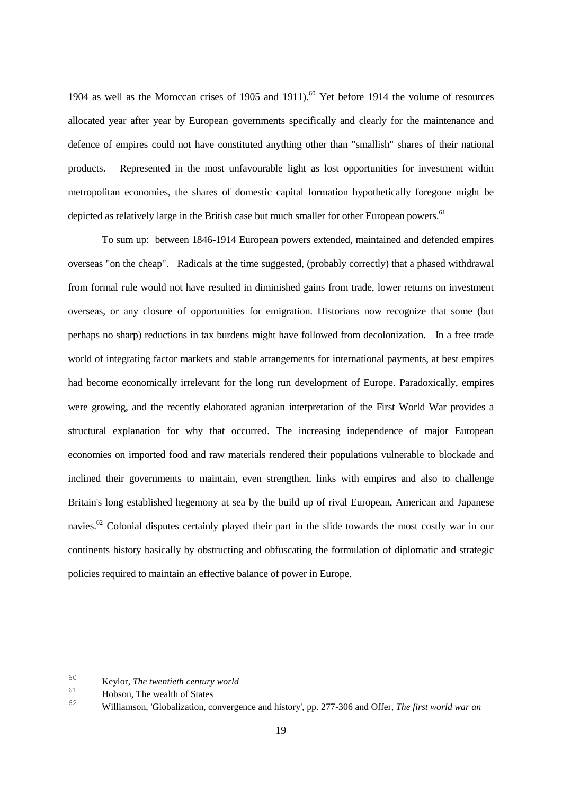1904 as well as the Moroccan crises of 1905 and 1911).<sup>60</sup> Yet before 1914 the volume of resources allocated year after year by European governments specifically and clearly for the maintenance and defence of empires could not have constituted anything other than "smallish" shares of their national products. Represented in the most unfavourable light as lost opportunities for investment within metropolitan economies, the shares of domestic capital formation hypothetically foregone might be depicted as relatively large in the British case but much smaller for other European powers.<sup>61</sup>

To sum up: between 1846-1914 European powers extended, maintained and defended empires overseas "on the cheap". Radicals at the time suggested, (probably correctly) that a phased withdrawal from formal rule would not have resulted in diminished gains from trade, lower returns on investment overseas, or any closure of opportunities for emigration. Historians now recognize that some (but perhaps no sharp) reductions in tax burdens might have followed from decolonization. In a free trade world of integrating factor markets and stable arrangements for international payments, at best empires had become economically irrelevant for the long run development of Europe. Paradoxically, empires were growing, and the recently elaborated agranian interpretation of the First World War provides a structural explanation for why that occurred. The increasing independence of major European economies on imported food and raw materials rendered their populations vulnerable to blockade and inclined their governments to maintain, even strengthen, links with empires and also to challenge Britain's long established hegemony at sea by the build up of rival European, American and Japanese navies.<sup>62</sup> Colonial disputes certainly played their part in the slide towards the most costly war in our continents history basically by obstructing and obfuscating the formulation of diplomatic and strategic policies required to maintain an effective balance of power in Europe.

-

<sup>60</sup> Keylor, *The twentieth century world*

 $\frac{61}{62}$  Hobson, The wealth of States

<sup>62</sup> Williamson, 'Globalization, convergence and history', pp. 277-306 and Offer, *The first world war an*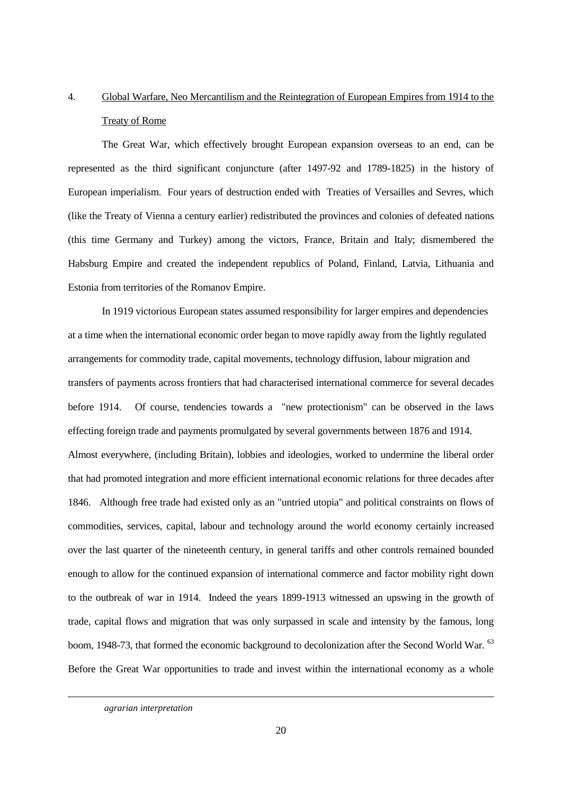# 4. Global Warfare, Neo Mercantilism and the Reintegration of European Empires from 1914 to the Treaty of Rome

The Great War, which effectively brought European expansion overseas to an end, can be represented as the third significant conjuncture (after 1497-92 and 1789-1825) in the history of European imperialism. Four years of destruction ended with Treaties of Versailles and Sevres, which (like the Treaty of Vienna a century earlier) redistributed the provinces and colonies of defeated nations (this time Germany and Turkey) among the victors, France, Britain and Italy; dismembered the Habsburg Empire and created the independent republics of Poland, Finland, Latvia, Lithuania and Estonia from territories of the Romanov Empire.

In 1919 victorious European states assumed responsibility for larger empires and dependencies at a time when the international economic order began to move rapidly away from the lightly regulated arrangements for commodity trade, capital movements, technology diffusion, labour migration and transfers of payments across frontiers that had characterised international commerce for several decades before 1914. Of course, tendencies towards a "new protectionism" can be observed in the laws effecting foreign trade and payments promulgated by several governments between 1876 and 1914. Almost everywhere, (including Britain), lobbies and ideologies, worked to undermine the liberal order that had promoted integration and more efficient international economic relations for three decades after 1846. Although free trade had existed only as an "untried utopia" and political constraints on flows of commodities, services, capital, labour and technology around the world economy certainly increased over the last quarter of the nineteenth century, in general tariffs and other controls remained bounded enough to allow for the continued expansion of international commerce and factor mobility right down to the outbreak of war in 1914. Indeed the years 1899-1913 witnessed an upswing in the growth of trade, capital flows and migration that was only surpassed in scale and intensity by the famous, long boom, 1948-73, that formed the economic background to decolonization after the Second World War. <sup>63</sup> Before the Great War opportunities to trade and invest within the international economy as a whole

*agrarian interpretation*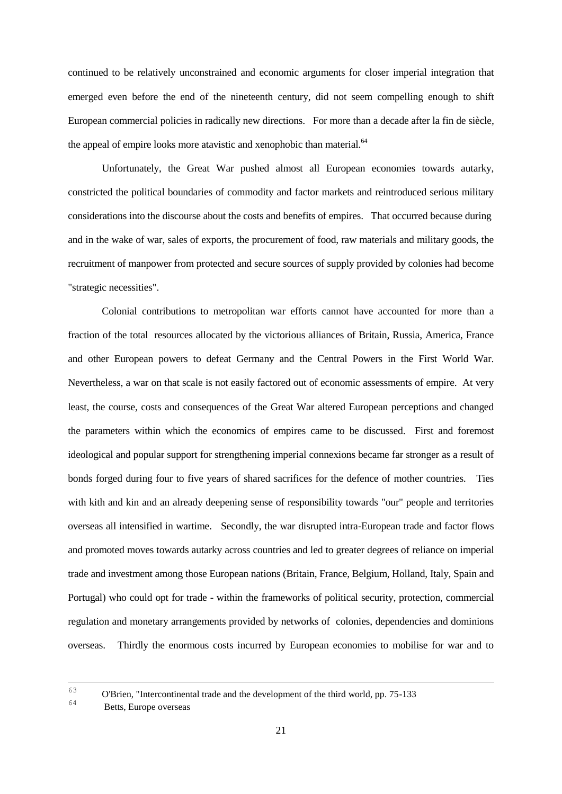continued to be relatively unconstrained and economic arguments for closer imperial integration that emerged even before the end of the nineteenth century, did not seem compelling enough to shift European commercial policies in radically new directions. For more than a decade after la fin de siècle, the appeal of empire looks more atavistic and xenophobic than material.<sup>64</sup>

Unfortunately, the Great War pushed almost all European economies towards autarky, constricted the political boundaries of commodity and factor markets and reintroduced serious military considerations into the discourse about the costs and benefits of empires. That occurred because during and in the wake of war, sales of exports, the procurement of food, raw materials and military goods, the recruitment of manpower from protected and secure sources of supply provided by colonies had become "strategic necessities".

Colonial contributions to metropolitan war efforts cannot have accounted for more than a fraction of the total resources allocated by the victorious alliances of Britain, Russia, America, France and other European powers to defeat Germany and the Central Powers in the First World War. Nevertheless, a war on that scale is not easily factored out of economic assessments of empire. At very least, the course, costs and consequences of the Great War altered European perceptions and changed the parameters within which the economics of empires came to be discussed. First and foremost ideological and popular support for strengthening imperial connexions became far stronger as a result of bonds forged during four to five years of shared sacrifices for the defence of mother countries. Ties with kith and kin and an already deepening sense of responsibility towards "our" people and territories overseas all intensified in wartime. Secondly, the war disrupted intra-European trade and factor flows and promoted moves towards autarky across countries and led to greater degrees of reliance on imperial trade and investment among those European nations (Britain, France, Belgium, Holland, Italy, Spain and Portugal) who could opt for trade - within the frameworks of political security, protection, commercial regulation and monetary arrangements provided by networks of colonies, dependencies and dominions overseas. Thirdly the enormous costs incurred by European economies to mobilise for war and to

Betts, Europe overseas

 $\frac{63}{64}$  O'Brien, "Intercontinental trade and the development of the third world, pp. 75-133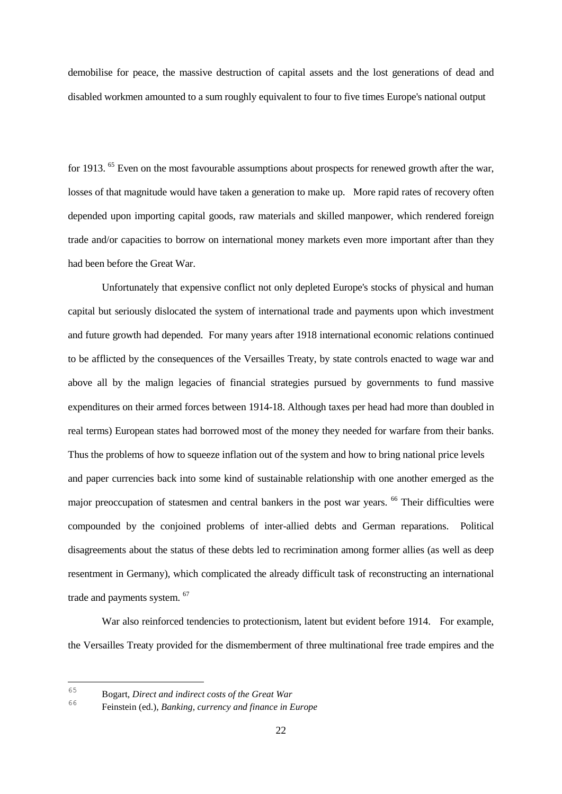demobilise for peace, the massive destruction of capital assets and the lost generations of dead and disabled workmen amounted to a sum roughly equivalent to four to five times Europe's national output

for 1913. <sup>65</sup> Even on the most favourable assumptions about prospects for renewed growth after the war, losses of that magnitude would have taken a generation to make up. More rapid rates of recovery often depended upon importing capital goods, raw materials and skilled manpower, which rendered foreign trade and/or capacities to borrow on international money markets even more important after than they had been before the Great War.

Unfortunately that expensive conflict not only depleted Europe's stocks of physical and human capital but seriously dislocated the system of international trade and payments upon which investment and future growth had depended. For many years after 1918 international economic relations continued to be afflicted by the consequences of the Versailles Treaty, by state controls enacted to wage war and above all by the malign legacies of financial strategies pursued by governments to fund massive expenditures on their armed forces between 1914-18. Although taxes per head had more than doubled in real terms) European states had borrowed most of the money they needed for warfare from their banks. Thus the problems of how to squeeze inflation out of the system and how to bring national price levels and paper currencies back into some kind of sustainable relationship with one another emerged as the major preoccupation of statesmen and central bankers in the post war years. <sup>66</sup> Their difficulties were compounded by the conjoined problems of inter-allied debts and German reparations. Political disagreements about the status of these debts led to recrimination among former allies (as well as deep resentment in Germany), which complicated the already difficult task of reconstructing an international trade and payments system. <sup>67</sup>

War also reinforced tendencies to protectionism, latent but evident before 1914. For example, the Versailles Treaty provided for the dismemberment of three multinational free trade empires and the

<sup>65</sup> Bogart, *Direct and indirect costs of the Great War*

<sup>66</sup> Feinstein (ed.), *Banking, currency and finance in Europe*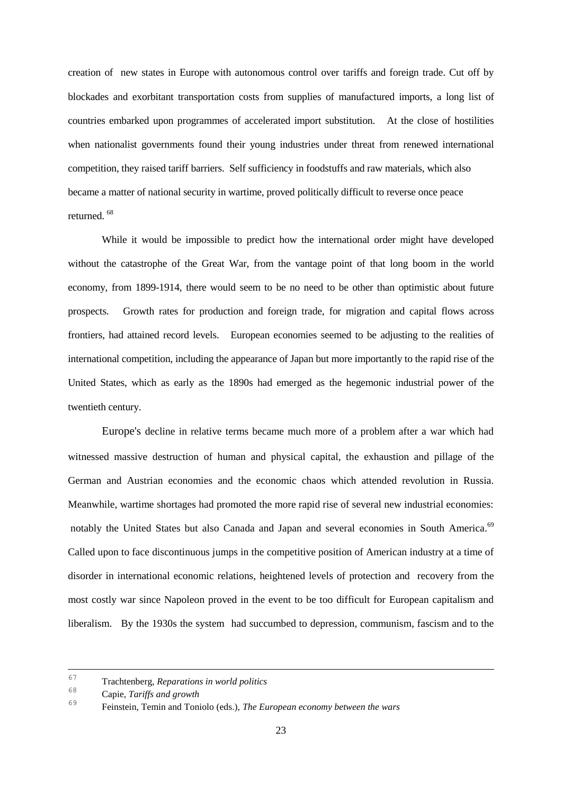creation of new states in Europe with autonomous control over tariffs and foreign trade. Cut off by blockades and exorbitant transportation costs from supplies of manufactured imports, a long list of countries embarked upon programmes of accelerated import substitution. At the close of hostilities when nationalist governments found their young industries under threat from renewed international competition, they raised tariff barriers. Self sufficiency in foodstuffs and raw materials, which also became a matter of national security in wartime, proved politically difficult to reverse once peace returned. <sup>68</sup>

While it would be impossible to predict how the international order might have developed without the catastrophe of the Great War, from the vantage point of that long boom in the world economy, from 1899-1914, there would seem to be no need to be other than optimistic about future prospects. Growth rates for production and foreign trade, for migration and capital flows across frontiers, had attained record levels. European economies seemed to be adjusting to the realities of international competition, including the appearance of Japan but more importantly to the rapid rise of the United States, which as early as the 1890s had emerged as the hegemonic industrial power of the twentieth century.

Europe's decline in relative terms became much more of a problem after a war which had witnessed massive destruction of human and physical capital, the exhaustion and pillage of the German and Austrian economies and the economic chaos which attended revolution in Russia. Meanwhile, wartime shortages had promoted the more rapid rise of several new industrial economies: notably the United States but also Canada and Japan and several economies in South America.<sup>69</sup> Called upon to face discontinuous jumps in the competitive position of American industry at a time of disorder in international economic relations, heightened levels of protection and recovery from the most costly war since Napoleon proved in the event to be too difficult for European capitalism and liberalism. By the 1930s the system had succumbed to depression, communism, fascism and to the

<sup>67</sup> Trachtenberg, *Reparations in world politics*

<sup>68</sup> Capie, *Tariffs and growth*

<sup>69</sup> Feinstein, Temin and Toniolo (eds.), *The European economy between the wars*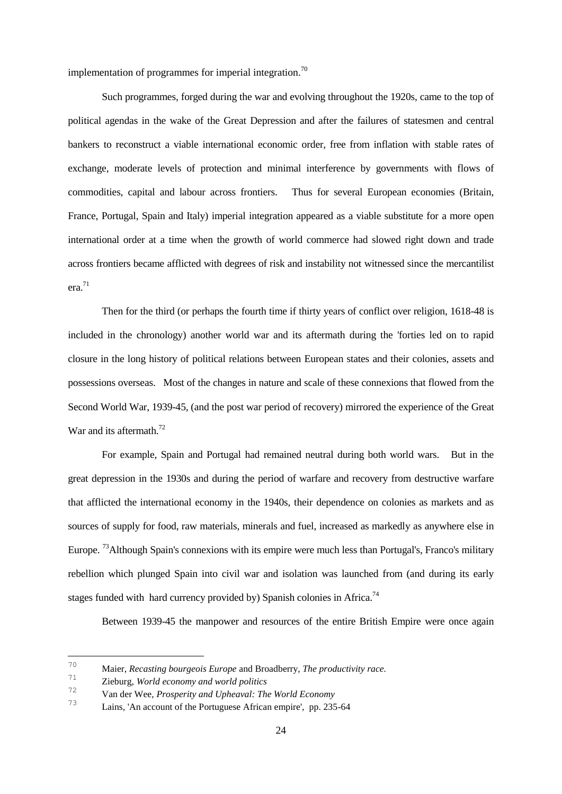implementation of programmes for imperial integration.<sup>70</sup>

Such programmes, forged during the war and evolving throughout the 1920s, came to the top of political agendas in the wake of the Great Depression and after the failures of statesmen and central bankers to reconstruct a viable international economic order, free from inflation with stable rates of exchange, moderate levels of protection and minimal interference by governments with flows of commodities, capital and labour across frontiers. Thus for several European economies (Britain, France, Portugal, Spain and Italy) imperial integration appeared as a viable substitute for a more open international order at a time when the growth of world commerce had slowed right down and trade across frontiers became afflicted with degrees of risk and instability not witnessed since the mercantilist  $era.<sup>71</sup>$ 

Then for the third (or perhaps the fourth time if thirty years of conflict over religion, 1618-48 is included in the chronology) another world war and its aftermath during the 'forties led on to rapid closure in the long history of political relations between European states and their colonies, assets and possessions overseas. Most of the changes in nature and scale of these connexions that flowed from the Second World War, 1939-45, (and the post war period of recovery) mirrored the experience of the Great War and its aftermath.<sup>72</sup>

For example, Spain and Portugal had remained neutral during both world wars. But in the great depression in the 1930s and during the period of warfare and recovery from destructive warfare that afflicted the international economy in the 1940s, their dependence on colonies as markets and as sources of supply for food, raw materials, minerals and fuel, increased as markedly as anywhere else in Europe. <sup>73</sup>Although Spain's connexions with its empire were much less than Portugal's, Franco's military rebellion which plunged Spain into civil war and isolation was launched from (and during its early stages funded with hard currency provided by) Spanish colonies in Africa.<sup>74</sup>

Between 1939-45 the manpower and resources of the entire British Empire were once again

 $70$ <sup>70</sup> Maier, *Recasting bourgeois Europe* and Broadberry, *The productivity race.*

<sup>71</sup> Zieburg, *World economy and world politics*

<sup>72</sup> Van der Wee, *Prosperity and Upheaval: The World Economy*

Lains, 'An account of the Portuguese African empire', pp. 235-64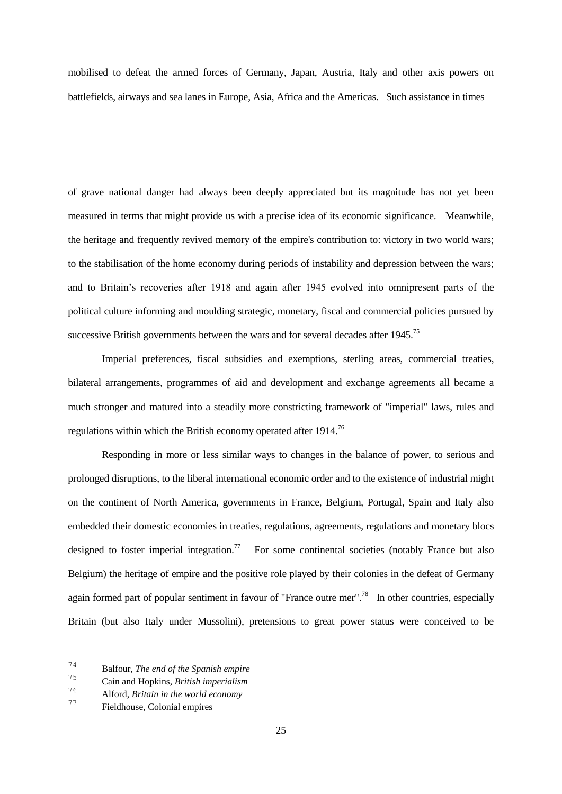mobilised to defeat the armed forces of Germany, Japan, Austria, Italy and other axis powers on battlefields, airways and sea lanes in Europe, Asia, Africa and the Americas. Such assistance in times

of grave national danger had always been deeply appreciated but its magnitude has not yet been measured in terms that might provide us with a precise idea of its economic significance. Meanwhile, the heritage and frequently revived memory of the empire's contribution to: victory in two world wars; to the stabilisation of the home economy during periods of instability and depression between the wars; and to Britain"s recoveries after 1918 and again after 1945 evolved into omnipresent parts of the political culture informing and moulding strategic, monetary, fiscal and commercial policies pursued by successive British governments between the wars and for several decades after 1945.<sup>75</sup>

Imperial preferences, fiscal subsidies and exemptions, sterling areas, commercial treaties, bilateral arrangements, programmes of aid and development and exchange agreements all became a much stronger and matured into a steadily more constricting framework of "imperial" laws, rules and regulations within which the British economy operated after 1914.<sup>76</sup>

Responding in more or less similar ways to changes in the balance of power, to serious and prolonged disruptions, to the liberal international economic order and to the existence of industrial might on the continent of North America, governments in France, Belgium, Portugal, Spain and Italy also embedded their domestic economies in treaties, regulations, agreements, regulations and monetary blocs designed to foster imperial integration.<sup>77</sup> For some continental societies (notably France but also Belgium) the heritage of empire and the positive role played by their colonies in the defeat of Germany again formed part of popular sentiment in favour of "France outre mer".<sup>78</sup> In other countries, especially Britain (but also Italy under Mussolini), pretensions to great power status were conceived to be

<sup>74</sup> <sup>74</sup> Balfour, *The end of the Spanish empire*

<sup>75</sup> Cain and Hopkins, *British imperialism*

<sup>76</sup> Alford, *Britain in the world economy*

Fieldhouse, Colonial empires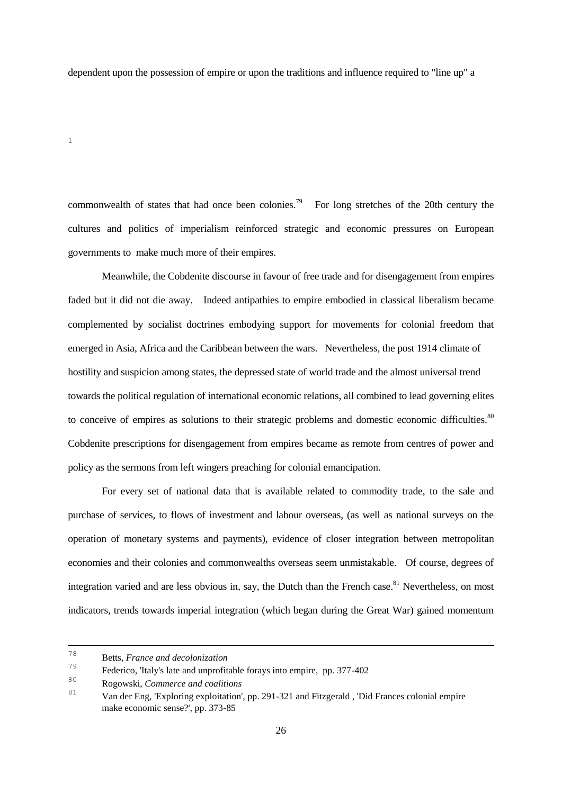dependent upon the possession of empire or upon the traditions and influence required to "line up" a

1

commonwealth of states that had once been colonies.<sup>79</sup> For long stretches of the 20th century the cultures and politics of imperialism reinforced strategic and economic pressures on European governments to make much more of their empires.

Meanwhile, the Cobdenite discourse in favour of free trade and for disengagement from empires faded but it did not die away. Indeed antipathies to empire embodied in classical liberalism became complemented by socialist doctrines embodying support for movements for colonial freedom that emerged in Asia, Africa and the Caribbean between the wars. Nevertheless, the post 1914 climate of hostility and suspicion among states, the depressed state of world trade and the almost universal trend towards the political regulation of international economic relations, all combined to lead governing elites to conceive of empires as solutions to their strategic problems and domestic economic difficulties.<sup>80</sup> Cobdenite prescriptions for disengagement from empires became as remote from centres of power and policy as the sermons from left wingers preaching for colonial emancipation.

For every set of national data that is available related to commodity trade, to the sale and purchase of services, to flows of investment and labour overseas, (as well as national surveys on the operation of monetary systems and payments), evidence of closer integration between metropolitan economies and their colonies and commonwealths overseas seem unmistakable. Of course, degrees of integration varied and are less obvious in, say, the Dutch than the French case.<sup>81</sup> Nevertheless, on most indicators, trends towards imperial integration (which began during the Great War) gained momentum

<sup>78</sup> <sup>78</sup> Betts, *France and decolonization*

 $^{79}$  Federico, 'Italy's late and unprofitable forays into empire, pp. 377-402

<sup>80</sup> Rogowski, *Commerce and coalitions*

<sup>81</sup> Van der Eng, 'Exploring exploitation', pp. 291-321 and Fitzgerald , 'Did Frances colonial empire make economic sense?', pp. 373-85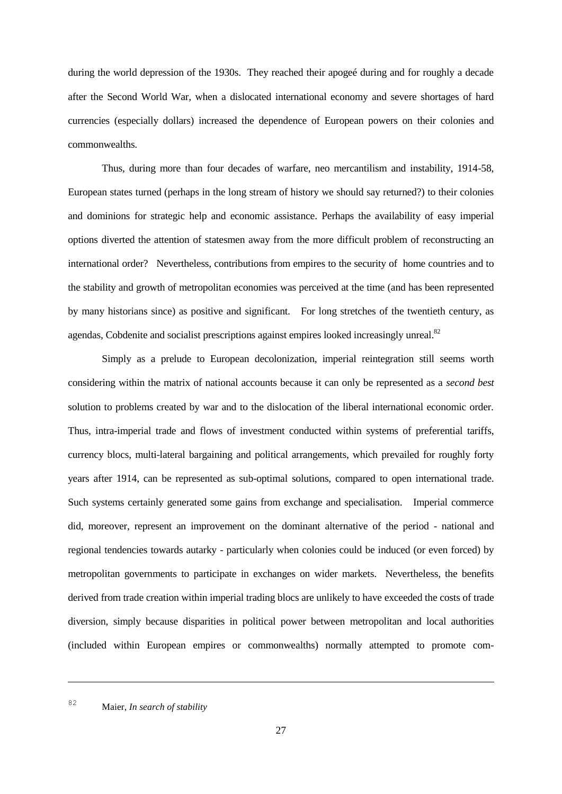during the world depression of the 1930s. They reached their apogeé during and for roughly a decade after the Second World War, when a dislocated international economy and severe shortages of hard currencies (especially dollars) increased the dependence of European powers on their colonies and commonwealths.

Thus, during more than four decades of warfare, neo mercantilism and instability, 1914-58, European states turned (perhaps in the long stream of history we should say returned?) to their colonies and dominions for strategic help and economic assistance. Perhaps the availability of easy imperial options diverted the attention of statesmen away from the more difficult problem of reconstructing an international order? Nevertheless, contributions from empires to the security of home countries and to the stability and growth of metropolitan economies was perceived at the time (and has been represented by many historians since) as positive and significant. For long stretches of the twentieth century, as agendas, Cobdenite and socialist prescriptions against empires looked increasingly unreal.<sup>82</sup>

Simply as a prelude to European decolonization, imperial reintegration still seems worth considering within the matrix of national accounts because it can only be represented as a *second best* solution to problems created by war and to the dislocation of the liberal international economic order. Thus, intra-imperial trade and flows of investment conducted within systems of preferential tariffs, currency blocs, multi-lateral bargaining and political arrangements, which prevailed for roughly forty years after 1914, can be represented as sub-optimal solutions, compared to open international trade. Such systems certainly generated some gains from exchange and specialisation. Imperial commerce did, moreover, represent an improvement on the dominant alternative of the period - national and regional tendencies towards autarky - particularly when colonies could be induced (or even forced) by metropolitan governments to participate in exchanges on wider markets. Nevertheless, the benefits derived from trade creation within imperial trading blocs are unlikely to have exceeded the costs of trade diversion, simply because disparities in political power between metropolitan and local authorities (included within European empires or commonwealths) normally attempted to promote com-

<sup>82</sup> Maier, *In search of stability*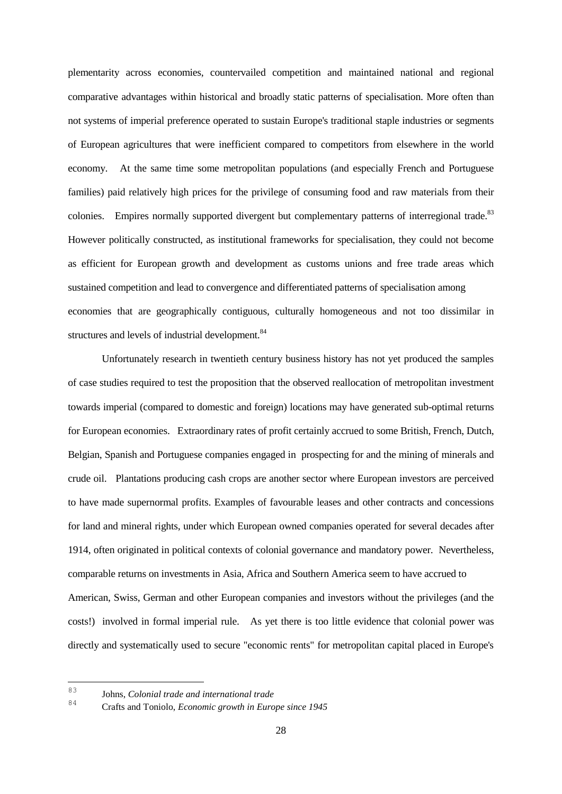plementarity across economies, countervailed competition and maintained national and regional comparative advantages within historical and broadly static patterns of specialisation. More often than not systems of imperial preference operated to sustain Europe's traditional staple industries or segments of European agricultures that were inefficient compared to competitors from elsewhere in the world economy. At the same time some metropolitan populations (and especially French and Portuguese families) paid relatively high prices for the privilege of consuming food and raw materials from their colonies. Empires normally supported divergent but complementary patterns of interregional trade.<sup>83</sup> However politically constructed, as institutional frameworks for specialisation, they could not become as efficient for European growth and development as customs unions and free trade areas which sustained competition and lead to convergence and differentiated patterns of specialisation among economies that are geographically contiguous, culturally homogeneous and not too dissimilar in structures and levels of industrial development.<sup>84</sup>

Unfortunately research in twentieth century business history has not yet produced the samples of case studies required to test the proposition that the observed reallocation of metropolitan investment towards imperial (compared to domestic and foreign) locations may have generated sub-optimal returns for European economies. Extraordinary rates of profit certainly accrued to some British, French, Dutch, Belgian, Spanish and Portuguese companies engaged in prospecting for and the mining of minerals and crude oil. Plantations producing cash crops are another sector where European investors are perceived to have made supernormal profits. Examples of favourable leases and other contracts and concessions for land and mineral rights, under which European owned companies operated for several decades after 1914, often originated in political contexts of colonial governance and mandatory power. Nevertheless, comparable returns on investments in Asia, Africa and Southern America seem to have accrued to American, Swiss, German and other European companies and investors without the privileges (and the costs!) involved in formal imperial rule. As yet there is too little evidence that colonial power was directly and systematically used to secure "economic rents" for metropolitan capital placed in Europe's

<sup>83</sup> Johns, *Colonial trade and international trade*

<sup>84</sup> Crafts and Toniolo, *Economic growth in Europe since 1945*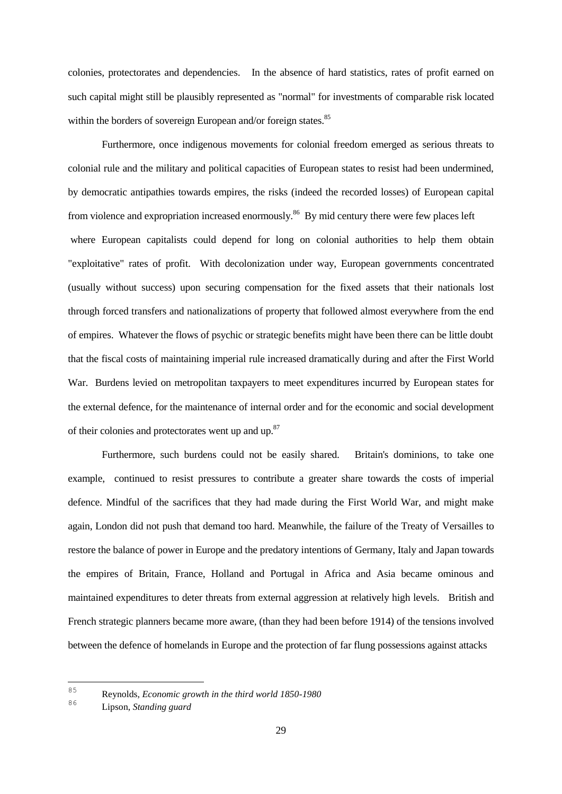colonies, protectorates and dependencies. In the absence of hard statistics, rates of profit earned on such capital might still be plausibly represented as "normal" for investments of comparable risk located within the borders of sovereign European and/or foreign states.<sup>85</sup>

Furthermore, once indigenous movements for colonial freedom emerged as serious threats to colonial rule and the military and political capacities of European states to resist had been undermined, by democratic antipathies towards empires, the risks (indeed the recorded losses) of European capital from violence and expropriation increased enormously.<sup>86</sup> By mid century there were few places left where European capitalists could depend for long on colonial authorities to help them obtain "exploitative" rates of profit. With decolonization under way, European governments concentrated (usually without success) upon securing compensation for the fixed assets that their nationals lost through forced transfers and nationalizations of property that followed almost everywhere from the end of empires. Whatever the flows of psychic or strategic benefits might have been there can be little doubt that the fiscal costs of maintaining imperial rule increased dramatically during and after the First World War. Burdens levied on metropolitan taxpayers to meet expenditures incurred by European states for the external defence, for the maintenance of internal order and for the economic and social development of their colonies and protectorates went up and up.<sup>87</sup>

Furthermore, such burdens could not be easily shared. Britain's dominions, to take one example, continued to resist pressures to contribute a greater share towards the costs of imperial defence. Mindful of the sacrifices that they had made during the First World War, and might make again, London did not push that demand too hard. Meanwhile, the failure of the Treaty of Versailles to restore the balance of power in Europe and the predatory intentions of Germany, Italy and Japan towards the empires of Britain, France, Holland and Portugal in Africa and Asia became ominous and maintained expenditures to deter threats from external aggression at relatively high levels. British and French strategic planners became more aware, (than they had been before 1914) of the tensions involved between the defence of homelands in Europe and the protection of far flung possessions against attacks

<sup>86</sup> Lipson, *Standing guard*

<sup>85</sup> Reynolds, *Economic growth in the third world 1850-1980*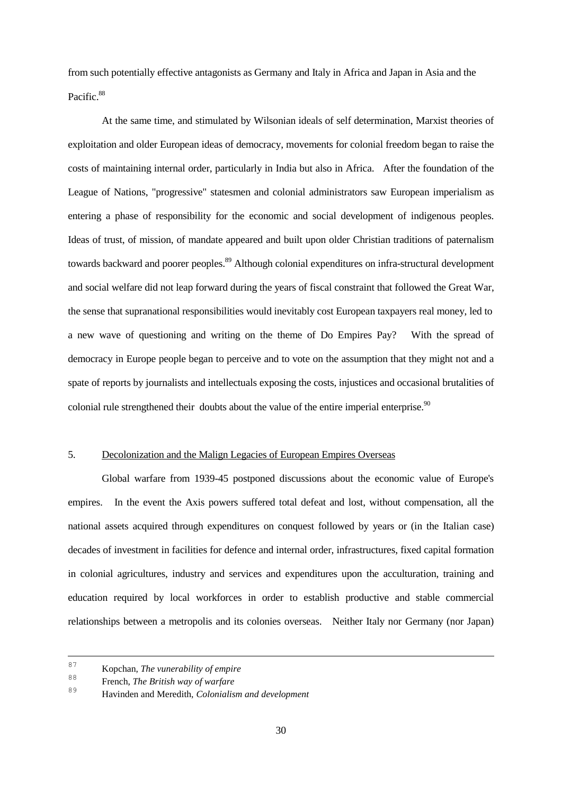from such potentially effective antagonists as Germany and Italy in Africa and Japan in Asia and the Pacific.<sup>88</sup>

At the same time, and stimulated by Wilsonian ideals of self determination, Marxist theories of exploitation and older European ideas of democracy, movements for colonial freedom began to raise the costs of maintaining internal order, particularly in India but also in Africa. After the foundation of the League of Nations, "progressive" statesmen and colonial administrators saw European imperialism as entering a phase of responsibility for the economic and social development of indigenous peoples. Ideas of trust, of mission, of mandate appeared and built upon older Christian traditions of paternalism towards backward and poorer peoples.<sup>89</sup> Although colonial expenditures on infra-structural development and social welfare did not leap forward during the years of fiscal constraint that followed the Great War, the sense that supranational responsibilities would inevitably cost European taxpayers real money, led to a new wave of questioning and writing on the theme of Do Empires Pay? With the spread of democracy in Europe people began to perceive and to vote on the assumption that they might not and a spate of reports by journalists and intellectuals exposing the costs, injustices and occasional brutalities of colonial rule strengthened their doubts about the value of the entire imperial enterprise.<sup>90</sup>

## 5. Decolonization and the Malign Legacies of European Empires Overseas

Global warfare from 1939-45 postponed discussions about the economic value of Europe's empires. In the event the Axis powers suffered total defeat and lost, without compensation, all the national assets acquired through expenditures on conquest followed by years or (in the Italian case) decades of investment in facilities for defence and internal order, infrastructures, fixed capital formation in colonial agricultures, industry and services and expenditures upon the acculturation, training and education required by local workforces in order to establish productive and stable commercial relationships between a metropolis and its colonies overseas. Neither Italy nor Germany (nor Japan)

<sup>87</sup> <sup>87</sup> Kopchan, *The vunerability of empire*

<sup>88</sup> French, *The British way of warfare*

<sup>89</sup> Havinden and Meredith, *Colonialism and development*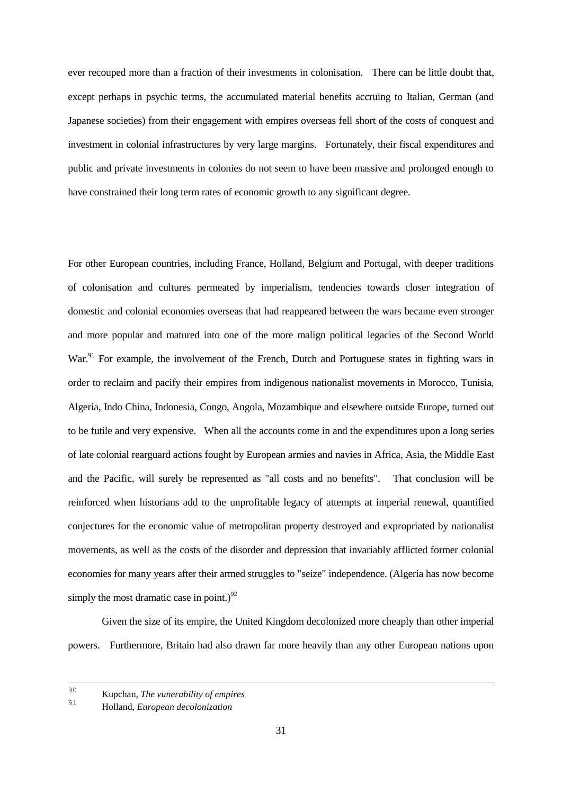ever recouped more than a fraction of their investments in colonisation. There can be little doubt that, except perhaps in psychic terms, the accumulated material benefits accruing to Italian, German (and Japanese societies) from their engagement with empires overseas fell short of the costs of conquest and investment in colonial infrastructures by very large margins. Fortunately, their fiscal expenditures and public and private investments in colonies do not seem to have been massive and prolonged enough to have constrained their long term rates of economic growth to any significant degree.

For other European countries, including France, Holland, Belgium and Portugal, with deeper traditions of colonisation and cultures permeated by imperialism, tendencies towards closer integration of domestic and colonial economies overseas that had reappeared between the wars became even stronger and more popular and matured into one of the more malign political legacies of the Second World War.<sup>91</sup> For example, the involvement of the French, Dutch and Portuguese states in fighting wars in order to reclaim and pacify their empires from indigenous nationalist movements in Morocco, Tunisia, Algeria, Indo China, Indonesia, Congo, Angola, Mozambique and elsewhere outside Europe, turned out to be futile and very expensive. When all the accounts come in and the expenditures upon a long series of late colonial rearguard actions fought by European armies and navies in Africa, Asia, the Middle East and the Pacific, will surely be represented as "all costs and no benefits". That conclusion will be reinforced when historians add to the unprofitable legacy of attempts at imperial renewal, quantified conjectures for the economic value of metropolitan property destroyed and expropriated by nationalist movements, as well as the costs of the disorder and depression that invariably afflicted former colonial economies for many years after their armed struggles to "seize" independence. (Algeria has now become simply the most dramatic case in point.) $92$ 

Given the size of its empire, the United Kingdom decolonized more cheaply than other imperial powers. Furthermore, Britain had also drawn far more heavily than any other European nations upon

<sup>90</sup> Kupchan, *The vunerability of empires*

<sup>91</sup> Holland, *European decolonization*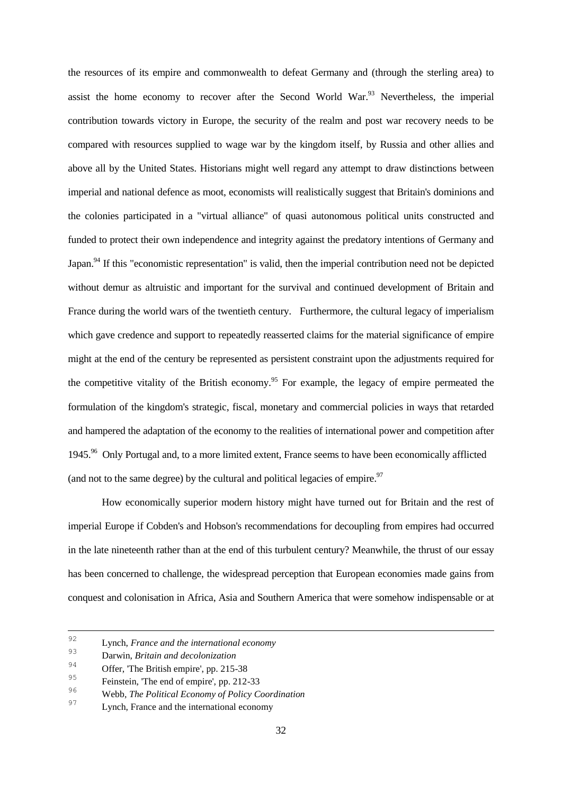the resources of its empire and commonwealth to defeat Germany and (through the sterling area) to assist the home economy to recover after the Second World War.<sup>93</sup> Nevertheless, the imperial contribution towards victory in Europe, the security of the realm and post war recovery needs to be compared with resources supplied to wage war by the kingdom itself, by Russia and other allies and above all by the United States. Historians might well regard any attempt to draw distinctions between imperial and national defence as moot, economists will realistically suggest that Britain's dominions and the colonies participated in a "virtual alliance" of quasi autonomous political units constructed and funded to protect their own independence and integrity against the predatory intentions of Germany and Japan.<sup>94</sup> If this "economistic representation" is valid, then the imperial contribution need not be depicted without demur as altruistic and important for the survival and continued development of Britain and France during the world wars of the twentieth century. Furthermore, the cultural legacy of imperialism which gave credence and support to repeatedly reasserted claims for the material significance of empire might at the end of the century be represented as persistent constraint upon the adjustments required for the competitive vitality of the British economy.<sup>95</sup> For example, the legacy of empire permeated the formulation of the kingdom's strategic, fiscal, monetary and commercial policies in ways that retarded and hampered the adaptation of the economy to the realities of international power and competition after 1945.<sup>96</sup> Only Portugal and, to a more limited extent, France seems to have been economically afflicted (and not to the same degree) by the cultural and political legacies of empire.<sup>97</sup>

How economically superior modern history might have turned out for Britain and the rest of imperial Europe if Cobden's and Hobson's recommendations for decoupling from empires had occurred in the late nineteenth rather than at the end of this turbulent century? Meanwhile, the thrust of our essay has been concerned to challenge, the widespread perception that European economies made gains from conquest and colonisation in Africa, Asia and Southern America that were somehow indispensable or at

 $92$ <sup>92</sup> Lynch, *France and the international economy*

<sup>93</sup> Darwin, *Britain and decolonization*

 $^{94}$  Offer, 'The British empire', pp. 215-38

<sup>&</sup>lt;sup>95</sup> Feinstein, 'The end of empire', pp. 212-33<br>96 Webl. The River of Particular

<sup>96</sup> Webb, *The Political Economy of Policy Coordination*

Lynch, France and the international economy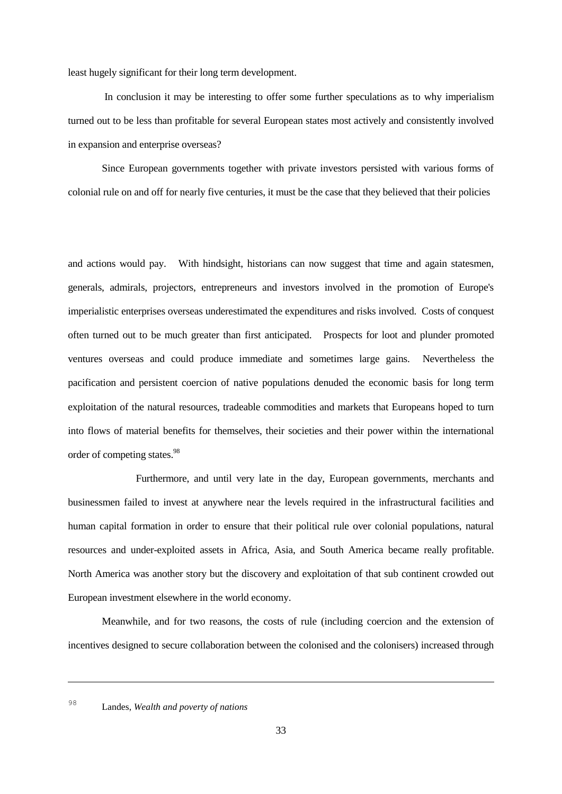least hugely significant for their long term development.

In conclusion it may be interesting to offer some further speculations as to why imperialism turned out to be less than profitable for several European states most actively and consistently involved in expansion and enterprise overseas?

Since European governments together with private investors persisted with various forms of colonial rule on and off for nearly five centuries, it must be the case that they believed that their policies

and actions would pay. With hindsight, historians can now suggest that time and again statesmen, generals, admirals, projectors, entrepreneurs and investors involved in the promotion of Europe's imperialistic enterprises overseas underestimated the expenditures and risks involved. Costs of conquest often turned out to be much greater than first anticipated. Prospects for loot and plunder promoted ventures overseas and could produce immediate and sometimes large gains. Nevertheless the pacification and persistent coercion of native populations denuded the economic basis for long term exploitation of the natural resources, tradeable commodities and markets that Europeans hoped to turn into flows of material benefits for themselves, their societies and their power within the international order of competing states.<sup>98</sup>

Furthermore, and until very late in the day, European governments, merchants and businessmen failed to invest at anywhere near the levels required in the infrastructural facilities and human capital formation in order to ensure that their political rule over colonial populations, natural resources and under-exploited assets in Africa, Asia, and South America became really profitable. North America was another story but the discovery and exploitation of that sub continent crowded out European investment elsewhere in the world economy.

Meanwhile, and for two reasons, the costs of rule (including coercion and the extension of incentives designed to secure collaboration between the colonised and the colonisers) increased through

<sup>98</sup> Landes, *Wealth and poverty of nations*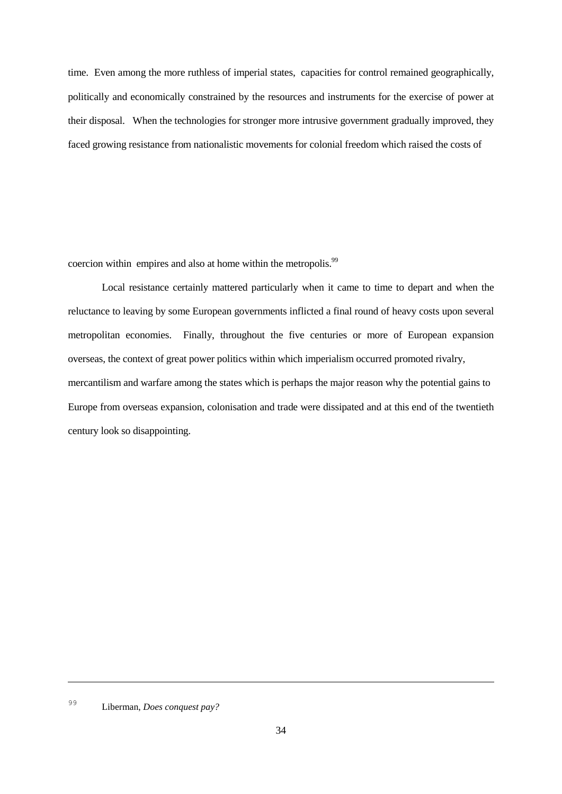time. Even among the more ruthless of imperial states, capacities for control remained geographically, politically and economically constrained by the resources and instruments for the exercise of power at their disposal. When the technologies for stronger more intrusive government gradually improved, they faced growing resistance from nationalistic movements for colonial freedom which raised the costs of

coercion within empires and also at home within the metropolis.<sup>99</sup>

Local resistance certainly mattered particularly when it came to time to depart and when the reluctance to leaving by some European governments inflicted a final round of heavy costs upon several metropolitan economies. Finally, throughout the five centuries or more of European expansion overseas, the context of great power politics within which imperialism occurred promoted rivalry, mercantilism and warfare among the states which is perhaps the major reason why the potential gains to Europe from overseas expansion, colonisation and trade were dissipated and at this end of the twentieth century look so disappointing.

<sup>99</sup> Liberman, *Does conquest pay?*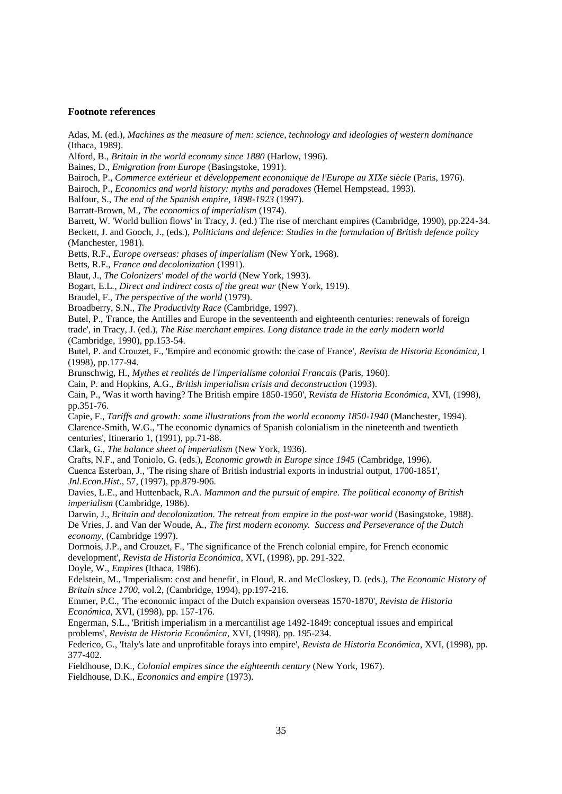#### **Footnote references**

Adas, M. (ed.), *Machines as the measure of men: science, technology and ideologies of western dominance* (Ithaca, 1989).

Alford, B., *Britain in the world economy since 1880* (Harlow, 1996).

Baines, D., *Emigration from Europe* (Basingstoke, 1991).

Bairoch, P., *Commerce extérieur et développement economique de l'Europe au XIXe siècle* (Paris, 1976).

Bairoch, P., *Economics and world history: myths and paradoxes* (Hemel Hempstead, 1993).

Balfour, S., *The end of the Spanish empire, 1898-1923* (1997).

Barratt-Brown, M., *The economics of imperialism* (1974).

Barrett, W. 'World bullion flows' in Tracy, J. (ed.) The rise of merchant empires (Cambridge, 1990), pp.224-34. Beckett, J. and Gooch, J., (eds.), *Politicians and defence: Studies in the formulation of British defence policy*  (Manchester, 1981).

Betts, R.F., *Europe overseas: phases of imperialism* (New York, 1968).

Betts, R.F., *France and decolonization* (1991).

Blaut, J., *The Colonizers' model of the world* (New York, 1993).

Bogart, E.L*., Direct and indirect costs of the great war* (New York, 1919).

Braudel, F., *The perspective of the world* (1979).

Broadberry, S.N., *The Productivity Race* (Cambridge, 1997).

Butel, P., 'France, the Antilles and Europe in the seventeenth and eighteenth centuries: renewals of foreign trade', in Tracy, J. (ed.), *The Rise merchant empires. Long distance trade in the early modern world* (Cambridge, 1990), pp.153-54.

Butel, P. and Crouzet, F., 'Empire and economic growth: the case of France', *Revista de Historia Económica*, I (1998), pp.177-94.

Brunschwig, H., *Mythes et realités de l'imperialisme colonial Francais* (Paris, 1960).

Cain, P. and Hopkins, A.G., *British imperialism crisis and deconstruction* (1993).

Cain, P., 'Was it worth having? The British empire 1850-1950', R*evista de Historia Económica*, XVI, (1998), pp.351-76.

Capie, F., *Tariffs and growth: some illustrations from the world economy 1850-1940* (Manchester, 1994). Clarence-Smith, W.G., 'The economic dynamics of Spanish colonialism in the nineteenth and twentieth centuries', Itinerario 1, (1991), pp.71-88.

Clark, G., *The balance sheet of imperialism* (New York, 1936).

Crafts, N.F., and Toniolo, G. (eds.), *Economic growth in Europe since 1945* (Cambridge, 1996). Cuenca Esterban, J., 'The rising share of British industrial exports in industrial output, 1700-1851', *Jnl.Econ.Hist*., 57, (1997), pp.879-906.

Davies, L.E., and Huttenback, R.A. *Mammon and the pursuit of empire. The political economy of British imperialism* (Cambridge, 1986).

Darwin, J., *Britain and decolonization. The retreat from empire in the post-war world* (Basingstoke, 1988). De Vries, J. and Van der Woude, A., *The first modern economy. Success and Perseverance of the Dutch economy*, (Cambridge 1997).

Dormois, J.P., and Crouzet, F., 'The significance of the French colonial empire, for French economic development', *Revista de Historia Económica,* XVI, (1998), pp. 291-322.

Doyle, W., *Empires* (Ithaca, 1986).

Edelstein, M., 'Imperialism: cost and benefit', in Floud, R. and McCloskey, D. (eds.), *The Economic History of Britain since 1700*, vol.2, (Cambridge, 1994), pp.197-216.

Emmer, P.C., 'The economic impact of the Dutch expansion overseas 1570-1870', *Revista de Historia Económica*, XVI, (1998), pp. 157-176.

Engerman, S.L., 'British imperialism in a mercantilist age 1492-1849: conceptual issues and empirical problems', *Revista de Historia Económica*, XVI, (1998), pp. 195-234.

Federico, G., 'Italy's late and unprofitable forays into empire', *Revista de Historia Económica*, XVI, (1998), pp. 377-402.

Fieldhouse, D.K., *Colonial empires since the eighteenth century* (New York, 1967).

Fieldhouse, D.K., *Economics and empire* (1973).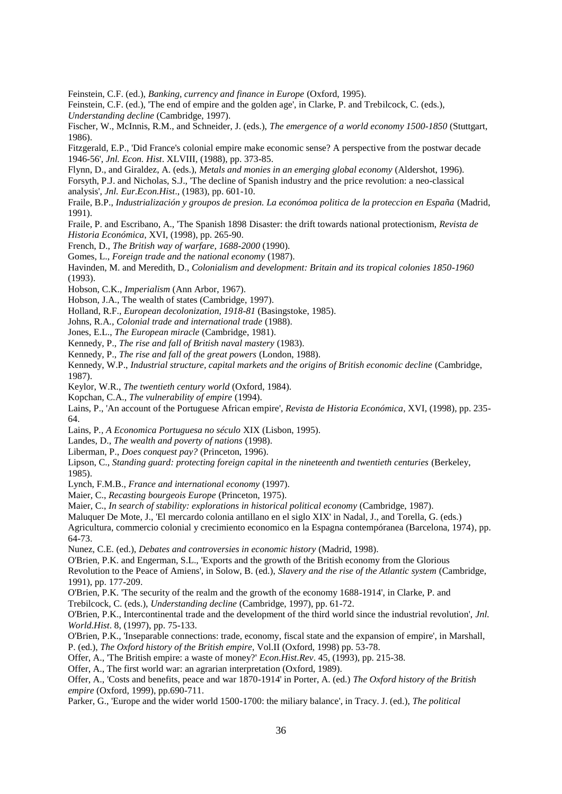Feinstein, C.F. (ed.), *Banking, currency and finance in Europe* (Oxford, 1995).

Feinstein, C.F. (ed.), 'The end of empire and the golden age', in Clarke, P. and Trebilcock, C. (eds.), *Understanding decline* (Cambridge, 1997).

Fischer, W., McInnis, R.M., and Schneider, J. (eds.), *The emergence of a world economy 1500-1850* (Stuttgart, 1986).

Fitzgerald, E.P., 'Did France's colonial empire make economic sense? A perspective from the postwar decade 1946-56', *Jnl. Econ. Hist*. XLVIII, (1988), pp. 373-85.

Flynn, D., and Giraldez, A. (eds.), *Metals and monies in an emerging global economy* (Aldershot, 1996). Forsyth, P.J. and Nicholas, S.J., 'The decline of Spanish industry and the price revolution: a neo-classical analysis', *Jnl. Eur.Econ.Hist*., (1983), pp. 601-10.

Fraile, B.P., *Industrialización y groupos de presion. La económoa politica de la proteccion en España* (Madrid, 1991).

Fraile, P. and Escribano, A., 'The Spanish 1898 Disaster: the drift towards national protectionism, *Revista de Historia Económica*, XVI, (1998), pp. 265-90.

French, D., *The British way of warfare, 1688-2000* (1990).

Gomes, L., *Foreign trade and the national economy* (1987).

Havinden, M. and Meredith, D., *Colonialism and development: Britain and its tropical colonies 1850-1960* (1993).

Hobson, C.K., *Imperialism* (Ann Arbor, 1967).

Hobson, J.A., The wealth of states (Cambridge, 1997).

Holland, R.F., *European decolonization, 1918-81* (Basingstoke, 1985).

Johns, R.A*., Colonial trade and international trade* (1988).

Jones, E.L., *The European miracle* (Cambridge, 1981).

Kennedy, P., *The rise and fall of British naval mastery* (1983).

Kennedy, P., *The rise and fall of the great powers* (London, 1988).

Kennedy, W.P., *Industrial structure, capital markets and the origins of British economic decline* (Cambridge, 1987).

Keylor, W.R., *The twentieth century world* (Oxford, 1984).

Kopchan, C.A., *The vulnerability of empire* (1994).

Lains, P., 'An account of the Portuguese African empire', *Revista de Historia Económica*, XVI, (1998), pp. 235- 64.

Lains, P*., A Economica Portuguesa no século* XIX (Lisbon, 1995).

Landes, D., *The wealth and poverty of nations* (1998).

Liberman, P., *Does conquest pay?* (Princeton, 1996).

Lipson, C., *Standing guard: protecting foreign capital in the nineteenth and twentieth centuries* (Berkeley, 1985).

Lynch, F.M.B., *France and international economy* (1997).

Maier, C., *Recasting bourgeois Europe* (Princeton, 1975).

Maier, C., *In search of stability: explorations in historical political economy* (Cambridge, 1987).

Maluquer De Mote, J., 'El mercardo colonia antillano en el siglo XIX' in Nadal, J., and Torella, G. (eds.)

Agricultura, commercio colonial y crecimiento economico en la Espagna contempóranea (Barcelona, 1974), pp. 64-73.

Nunez, C.E. (ed.), *Debates and controversies in economic history* (Madrid, 1998).

O'Brien, P.K. and Engerman, S.L., 'Exports and the growth of the British economy from the Glorious

Revolution to the Peace of Amiens', in Solow, B. (ed.), *Slavery and the rise of the Atlantic system* (Cambridge, 1991), pp. 177-209.

O'Brien, P.K. 'The security of the realm and the growth of the economy 1688-1914', in Clarke, P. and

Trebilcock, C. (eds.), *Understanding decline* (Cambridge, 1997), pp. 61-72.

O'Brien, P.K., Intercontinental trade and the development of the third world since the industrial revolution', *Jnl. World.Hist*. 8, (1997), pp. 75-133.

O'Brien, P.K., 'Inseparable connections: trade, economy, fiscal state and the expansion of empire', in Marshall, P. (ed.), *The Oxford history of the British empire*, Vol.II (Oxford, 1998) pp. 53-78.

Offer, A., 'The British empire: a waste of money?' *Econ.Hist.Rev*. 45, (1993), pp. 215-38.

Offer, A., The first world war: an agrarian interpretation (Oxford, 1989).

Offer, A., 'Costs and benefits, peace and war 1870-1914' in Porter, A. (ed.) *The Oxford history of the British empire* (Oxford, 1999), pp.690-711.

Parker, G., 'Europe and the wider world 1500-1700: the miliary balance', in Tracy. J. (ed.), *The political*